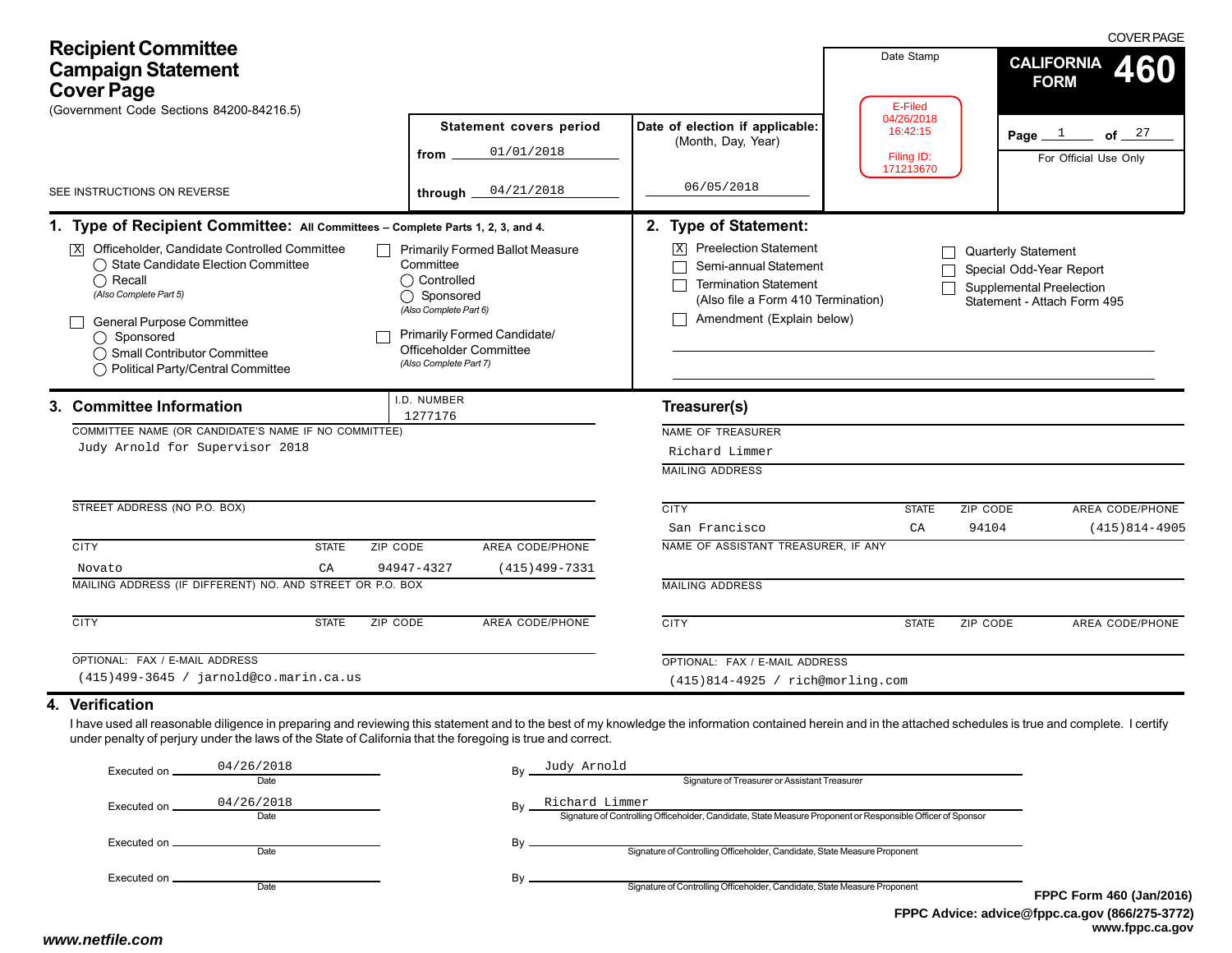| <b>Recipient Committee</b><br><b>Campaign Statement</b><br><b>Cover Page</b><br>(Government Code Sections 84200-84216.5)                                                                                                                                                                                                                                                                                                   |                                                                                                                                                                                                 |                                                                                                                                                                                                              | Date Stamp<br>E-Filed                             | <b>COVER PAGE</b><br><b>CALIFORNIA</b><br>460<br><b>FORM</b>                                                            |
|----------------------------------------------------------------------------------------------------------------------------------------------------------------------------------------------------------------------------------------------------------------------------------------------------------------------------------------------------------------------------------------------------------------------------|-------------------------------------------------------------------------------------------------------------------------------------------------------------------------------------------------|--------------------------------------------------------------------------------------------------------------------------------------------------------------------------------------------------------------|---------------------------------------------------|-------------------------------------------------------------------------------------------------------------------------|
| SEE INSTRUCTIONS ON REVERSE                                                                                                                                                                                                                                                                                                                                                                                                | Statement covers period<br>01/01/2018<br>from<br>04/21/2018<br>through                                                                                                                          | Date of election if applicable:<br>(Month, Day, Year)<br>06/05/2018                                                                                                                                          | 04/26/2018<br>16:42:15<br>Filing ID:<br>171213670 | of $\frac{27}{1}$<br>Page $1$<br>For Official Use Only                                                                  |
| 1. Type of Recipient Committee: All Committees - Complete Parts 1, 2, 3, and 4.<br>Officeholder, Candidate Controlled Committee<br> X <br>◯ State Candidate Election Committee<br>$\bigcap$ Recall<br>(Also Complete Part 5)<br><b>General Purpose Committee</b><br>◯ Sponsored<br>◯ Small Contributor Committee<br>◯ Political Party/Central Committee                                                                    | <b>Primarily Formed Ballot Measure</b><br>Committee<br>◯ Controlled<br>◯ Sponsored<br>(Also Complete Part 6)<br>Primarily Formed Candidate/<br>Officeholder Committee<br>(Also Complete Part 7) | 2. Type of Statement:<br><b>Preelection Statement</b><br>$\overline{\mathbf{X}}$<br>Semi-annual Statement<br><b>Termination Statement</b><br>(Also file a Form 410 Termination)<br>Amendment (Explain below) |                                                   | <b>Quarterly Statement</b><br>Special Odd-Year Report<br><b>Supplemental Preelection</b><br>Statement - Attach Form 495 |
| 3. Committee Information<br>COMMITTEE NAME (OR CANDIDATE'S NAME IF NO COMMITTEE)<br>Judy Arnold for Supervisor 2018                                                                                                                                                                                                                                                                                                        | I.D. NUMBER<br>1277176                                                                                                                                                                          | Treasurer(s)<br>NAME OF TREASURER<br>Richard Limmer<br><b>MAILING ADDRESS</b>                                                                                                                                |                                                   |                                                                                                                         |
| STREET ADDRESS (NO P.O. BOX)<br><b>CITY</b><br>ZIP CODE<br><b>STATE</b><br>CA<br>Novato                                                                                                                                                                                                                                                                                                                                    | AREA CODE/PHONE<br>94947-4327<br>$(415)499 - 7331$                                                                                                                                              | <b>CITY</b><br>San Francisco<br>NAME OF ASSISTANT TREASURER, IF ANY                                                                                                                                          | <b>STATE</b><br>CA                                | <b>AREA CODE/PHONE</b><br>ZIP CODE<br>94104<br>$(415)814 - 4905$                                                        |
| MAILING ADDRESS (IF DIFFERENT) NO. AND STREET OR P.O. BOX<br><b>CITY</b><br><b>STATE</b><br>ZIP CODE                                                                                                                                                                                                                                                                                                                       | AREA CODE/PHONE                                                                                                                                                                                 | <b>MAILING ADDRESS</b><br><b>CITY</b>                                                                                                                                                                        | <b>STATE</b>                                      | AREA CODE/PHONE<br>ZIP CODE                                                                                             |
| OPTIONAL: FAX / E-MAIL ADDRESS<br>(415)499-3645 / jarnold@co.marin.ca.us<br>4. Verification<br>I have used all reasonable diligence in preparing and reviewing this statement and to the best of my knowledge the information contained herein and in the attached schedules is true and complete. I certify<br>under penalty of perjury under the laws of the State of California that the foregoing is true and correct. |                                                                                                                                                                                                 | OPTIONAL: FAX / E-MAIL ADDRESS<br>(415) 814-4925 / rich@morling.com                                                                                                                                          |                                                   |                                                                                                                         |
| 0.110510010                                                                                                                                                                                                                                                                                                                                                                                                                | $7.11 - 3.11 - 3.11$                                                                                                                                                                            |                                                                                                                                                                                                              |                                                   |                                                                                                                         |

| Date               |            | Signature of Treasurer or Assistant Treasurer                                                                                 |                                  |  |
|--------------------|------------|-------------------------------------------------------------------------------------------------------------------------------|----------------------------------|--|
| 04/26/2018<br>Date | Bv         | Richard Limmer<br>Signature of Controlling Officeholder, Candidate, State Measure Proponent or Responsible Officer of Sponsor |                                  |  |
| Date               |            | Signature of Controlling Officeholder, Candidate, State Measure Proponent                                                     |                                  |  |
| Date               |            | Signature of Controlling Officeholder, Candidate, State Measure Proponent                                                     | FF                               |  |
|                    | 04/26/2018 |                                                                                                                               | Judy Arnold<br>$Bv$ <sub>-</sub> |  |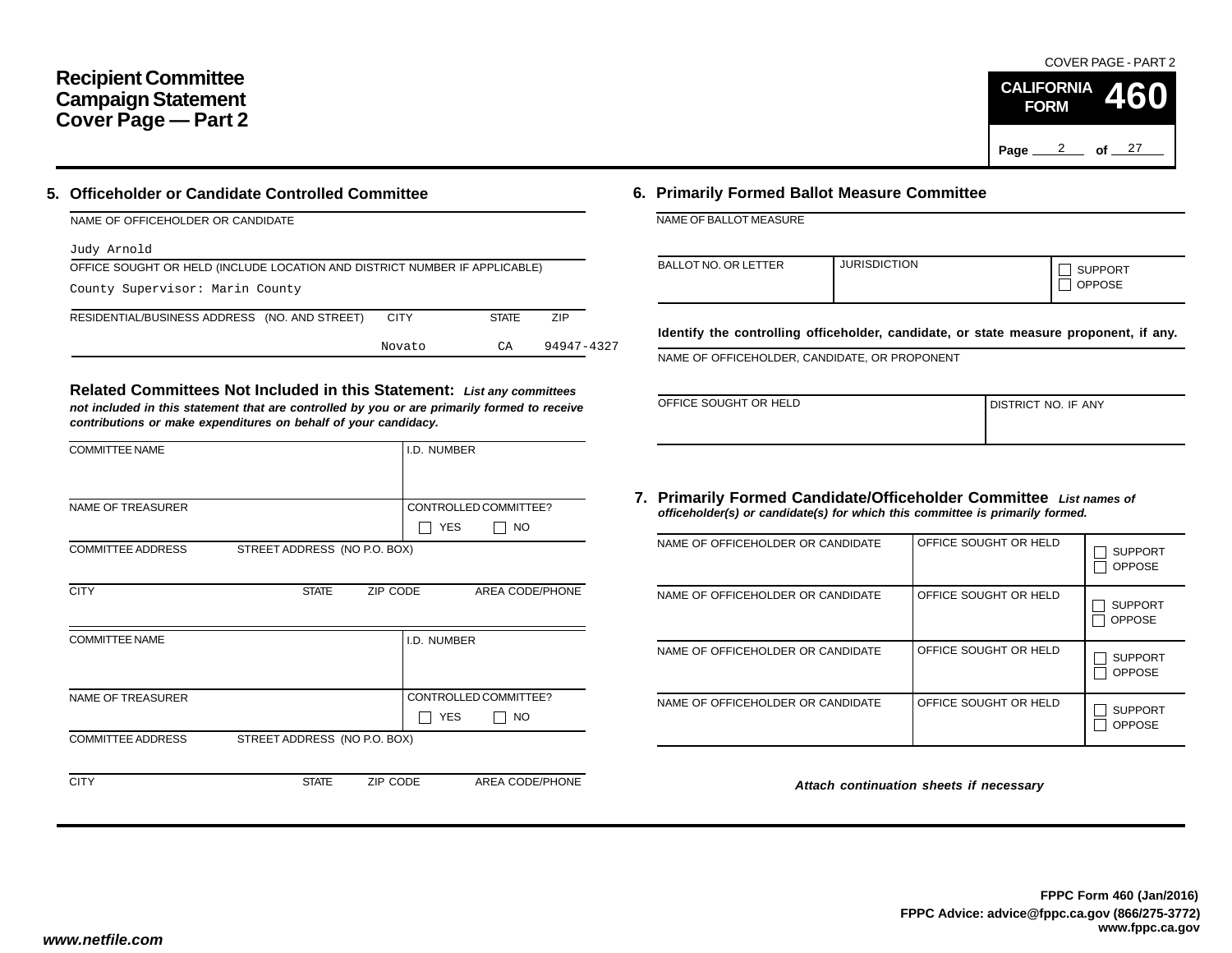## **Recipient Committee Campaign Statement Cover Page — Part 2**

## **5. Officeholder or Candidate Controlled Committee**

| NAME OF OFFICEHOLDER OR CANDIDATE                                          |             |              |            |  |  |  |  |  |
|----------------------------------------------------------------------------|-------------|--------------|------------|--|--|--|--|--|
| Judy Arnold                                                                |             |              |            |  |  |  |  |  |
| OFFICE SOUGHT OR HELD (INCLUDE LOCATION AND DISTRICT NUMBER IF APPLICABLE) |             |              |            |  |  |  |  |  |
| County Supervisor: Marin County                                            |             |              |            |  |  |  |  |  |
| RESIDENTIAL/BUSINESS ADDRESS (NO. AND STREET)                              | <b>CITY</b> | <b>STATE</b> | <b>ZIP</b> |  |  |  |  |  |
|                                                                            | Novato      | СA           | 94947-4327 |  |  |  |  |  |

**Related Committees Not Included in this Statement:** *List any committees not included in this statement that are controlled by you or are primarily formed to receive contributions or make expenditures on behalf of your candidacy.*

|              | I.D. NUMBER |                                                              |
|--------------|-------------|--------------------------------------------------------------|
|              |             |                                                              |
|              |             | CONTROLLED COMMITTEE?                                        |
|              |             | <b>YES</b><br>NO                                             |
|              |             |                                                              |
|              |             |                                                              |
| <b>STATE</b> | ZIP CODE    | AREA CODE/PHONE                                              |
|              |             |                                                              |
|              | I.D. NUMBER |                                                              |
|              |             |                                                              |
|              |             |                                                              |
|              |             | CONTROLLED COMMITTEE?                                        |
|              |             | <b>YES</b><br><b>NO</b>                                      |
|              |             |                                                              |
|              |             |                                                              |
| <b>STATE</b> | ZIP CODE    | AREA CODE/PHONE                                              |
|              |             | STREET ADDRESS (NO P.O. BOX)<br>STREET ADDRESS (NO P.O. BOX) |

### **6. Primarily Formed Ballot Measure Committee**

NAME OF BALLOT MEASURE

| <b>BALLOT NO. OR LETTER</b> | <b>JURISDICTION</b> | <b>SUPPORT</b><br><b>OPPOSE</b> |
|-----------------------------|---------------------|---------------------------------|

**Identify the controlling officeholder, candidate, or state measure proponent, if any.**

NAME OF OFFICEHOLDER, CANDIDATE, OR PROPONENT

| OFFICE SOUGHT OR HELD | <b>I DISTRICT NO. IF ANY</b> |
|-----------------------|------------------------------|
|                       |                              |

#### **7. Primarily Formed Candidate/Officeholder Committee** *List names of officeholder(s) or candidate(s) for which this committee is primarily formed.*

| NAME OF OFFICEHOLDER OR CANDIDATE | OFFICE SOUGHT OR HELD | <b>SUPPORT</b><br><b>OPPOSE</b> |
|-----------------------------------|-----------------------|---------------------------------|
| NAME OF OFFICEHOLDER OR CANDIDATE | OFFICE SOUGHT OR HELD | <b>SUPPORT</b><br><b>OPPOSE</b> |
| NAME OF OFFICEHOLDER OR CANDIDATE | OFFICE SOUGHT OR HELD | <b>SUPPORT</b><br><b>OPPOSE</b> |
| NAME OF OFFICEHOLDER OR CANDIDATE | OFFICE SOUGHT OR HELD | <b>SUPPORT</b><br><b>OPPOSE</b> |

*Attach continuation sheets if necessary*

COVER PAGE - PART 2

**460**

Page <u>2</u> of 27

**CALIFORNIA FORM**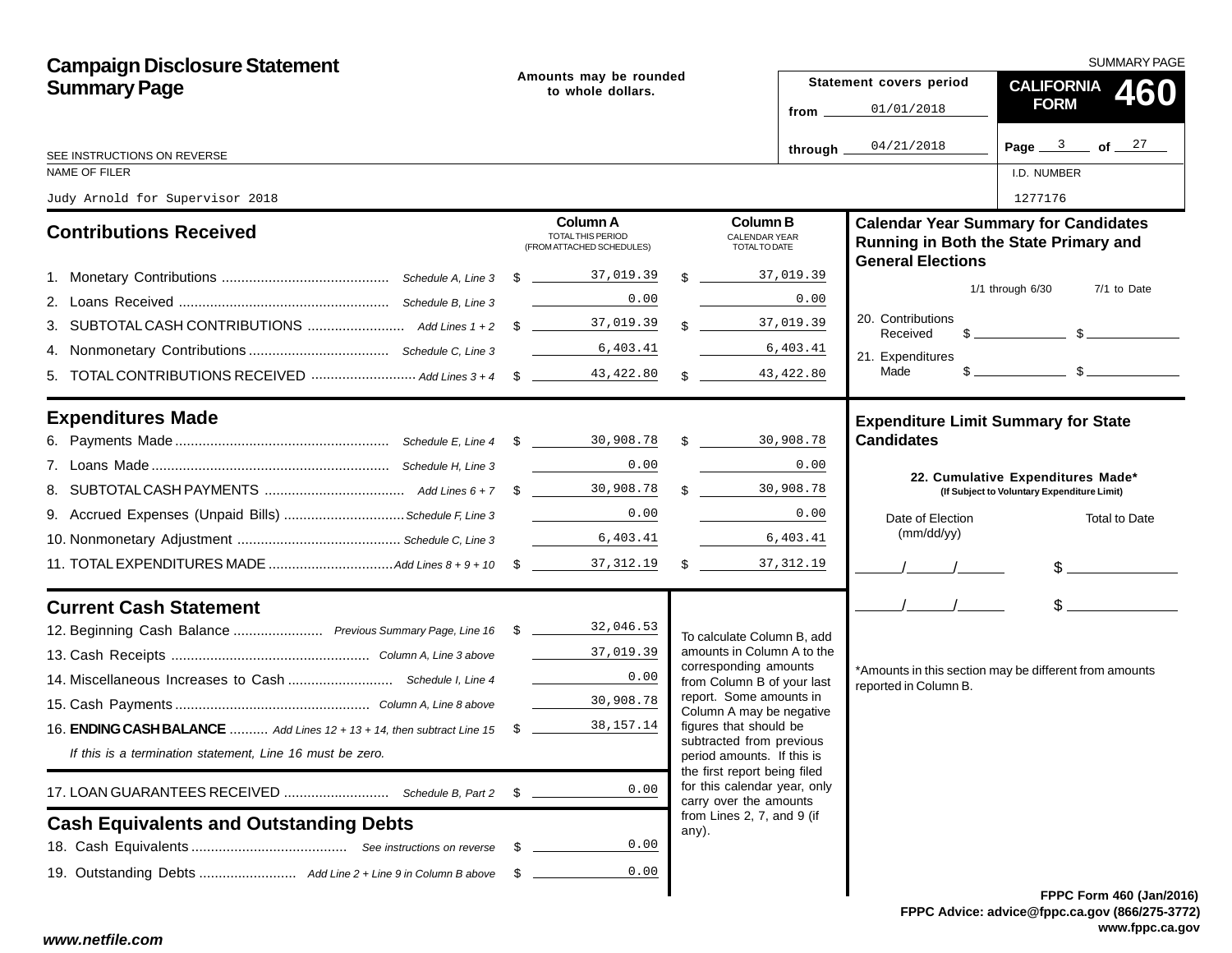| <b>Campaign Disclosure Statement</b>                                                    |                                             |                                                                       |  |                                                                                        |                                  | <b>SUMMARY PAGE</b>                        |                                                                                                                                                                                                                                                                                                                     |  |  |
|-----------------------------------------------------------------------------------------|---------------------------------------------|-----------------------------------------------------------------------|--|----------------------------------------------------------------------------------------|----------------------------------|--------------------------------------------|---------------------------------------------------------------------------------------------------------------------------------------------------------------------------------------------------------------------------------------------------------------------------------------------------------------------|--|--|
| <b>Summary Page</b>                                                                     | Amounts may be rounded<br>to whole dollars. |                                                                       |  |                                                                                        |                                  | Statement covers period                    | CALIFORNIA 460                                                                                                                                                                                                                                                                                                      |  |  |
|                                                                                         |                                             |                                                                       |  |                                                                                        | from __                          | 01/01/2018                                 | <b>FORM</b>                                                                                                                                                                                                                                                                                                         |  |  |
| SEE INSTRUCTIONS ON REVERSE                                                             |                                             |                                                                       |  |                                                                                        | through $\overline{\phantom{a}}$ | 04/21/2018                                 | Page $3$ of $27$                                                                                                                                                                                                                                                                                                    |  |  |
| NAME OF FILER                                                                           |                                             |                                                                       |  |                                                                                        |                                  |                                            | I.D. NUMBER                                                                                                                                                                                                                                                                                                         |  |  |
| Judy Arnold for Supervisor 2018                                                         |                                             |                                                                       |  |                                                                                        |                                  |                                            | 1277176                                                                                                                                                                                                                                                                                                             |  |  |
| <b>Contributions Received</b>                                                           |                                             | <b>Column A</b><br>TOTAL THIS PERIOD<br>(FROM ATTACHED SCHEDULES)     |  | <b>Column B</b><br><b>CALENDAR YEAR</b><br><b>TOTALTO DATE</b>                         |                                  | <b>General Elections</b>                   | <b>Calendar Year Summary for Candidates</b><br>Running in Both the State Primary and                                                                                                                                                                                                                                |  |  |
|                                                                                         |                                             |                                                                       |  | $\frac{1}{2}$ 37,019.39                                                                |                                  |                                            |                                                                                                                                                                                                                                                                                                                     |  |  |
|                                                                                         |                                             | 0.00                                                                  |  |                                                                                        | 0.00                             |                                            | $1/1$ through $6/30$<br>7/1 to Date                                                                                                                                                                                                                                                                                 |  |  |
|                                                                                         |                                             |                                                                       |  | $\frac{37,019}{37,019}$ .39                                                            |                                  | 20. Contributions<br>Received              | $\frac{1}{2}$ $\frac{1}{2}$ $\frac{1}{2}$ $\frac{1}{2}$ $\frac{1}{2}$ $\frac{1}{2}$ $\frac{1}{2}$ $\frac{1}{2}$ $\frac{1}{2}$ $\frac{1}{2}$ $\frac{1}{2}$ $\frac{1}{2}$ $\frac{1}{2}$ $\frac{1}{2}$ $\frac{1}{2}$ $\frac{1}{2}$ $\frac{1}{2}$ $\frac{1}{2}$ $\frac{1}{2}$ $\frac{1}{2}$ $\frac{1}{2}$ $\frac{1}{2}$ |  |  |
|                                                                                         |                                             |                                                                       |  | 6,403.41                                                                               |                                  | 21. Expenditures                           |                                                                                                                                                                                                                                                                                                                     |  |  |
|                                                                                         |                                             |                                                                       |  | $\frac{43,422.80}{\frac{1}{2}}$                                                        |                                  | Made                                       |                                                                                                                                                                                                                                                                                                                     |  |  |
| <b>Expenditures Made</b>                                                                |                                             |                                                                       |  |                                                                                        |                                  | <b>Expenditure Limit Summary for State</b> |                                                                                                                                                                                                                                                                                                                     |  |  |
|                                                                                         |                                             |                                                                       |  |                                                                                        |                                  | <b>Candidates</b>                          |                                                                                                                                                                                                                                                                                                                     |  |  |
|                                                                                         |                                             | 0.00                                                                  |  |                                                                                        | 0.00                             |                                            | 22. Cumulative Expenditures Made*                                                                                                                                                                                                                                                                                   |  |  |
|                                                                                         |                                             |                                                                       |  | \$30,908.78                                                                            |                                  |                                            | (If Subject to Voluntary Expenditure Limit)                                                                                                                                                                                                                                                                         |  |  |
| 9. Accrued Expenses (Unpaid Bills) Schedule F, Line 3                                   |                                             | 0.00                                                                  |  |                                                                                        | 0.00                             | Date of Election                           | <b>Total to Date</b>                                                                                                                                                                                                                                                                                                |  |  |
|                                                                                         |                                             |                                                                       |  | 6,403.41<br><u> 1999 - Jan Ja</u>                                                      |                                  | (mm/dd/yy)                                 |                                                                                                                                                                                                                                                                                                                     |  |  |
|                                                                                         |                                             |                                                                       |  |                                                                                        |                                  | $\frac{1}{\sqrt{2}}$                       | $\frac{1}{2}$                                                                                                                                                                                                                                                                                                       |  |  |
| <b>Current Cash Statement</b>                                                           |                                             |                                                                       |  |                                                                                        |                                  | $\sqrt{1}$                                 | $\sim$                                                                                                                                                                                                                                                                                                              |  |  |
| 12. Beginning Cash Balance  Previous Summary Page, Line 16 \$ 18 19 19 19 19 19 19 19 1 |                                             |                                                                       |  | To calculate Column B, add                                                             |                                  |                                            |                                                                                                                                                                                                                                                                                                                     |  |  |
|                                                                                         |                                             | $\frac{37}{100}$ , 019.39                                             |  | amounts in Column A to the<br>corresponding amounts                                    |                                  |                                            |                                                                                                                                                                                                                                                                                                                     |  |  |
|                                                                                         |                                             | $\mathcal{L}^{\text{max}}$ , where $\mathcal{L}^{\text{max}}$<br>0.00 |  | from Column B of your last                                                             |                                  | reported in Column B.                      | *Amounts in this section may be different from amounts                                                                                                                                                                                                                                                              |  |  |
|                                                                                         |                                             | 30,908.78                                                             |  | report. Some amounts in<br>Column A may be negative                                    |                                  |                                            |                                                                                                                                                                                                                                                                                                                     |  |  |
| 16. <b>ENDING CASH BALANCE</b> Add Lines 12 + 13 + 14, then subtract Line 15 \$         |                                             | 38,157.14                                                             |  | figures that should be                                                                 |                                  |                                            |                                                                                                                                                                                                                                                                                                                     |  |  |
| If this is a termination statement, Line 16 must be zero.                               |                                             |                                                                       |  | subtracted from previous<br>period amounts. If this is<br>the first report being filed |                                  |                                            |                                                                                                                                                                                                                                                                                                                     |  |  |
|                                                                                         |                                             | 0.00                                                                  |  | for this calendar year, only<br>carry over the amounts                                 |                                  |                                            |                                                                                                                                                                                                                                                                                                                     |  |  |
| <b>Cash Equivalents and Outstanding Debts</b>                                           |                                             |                                                                       |  | from Lines 2, 7, and 9 (if<br>any).                                                    |                                  |                                            |                                                                                                                                                                                                                                                                                                                     |  |  |
|                                                                                         | - \$                                        | 0.00                                                                  |  |                                                                                        |                                  |                                            |                                                                                                                                                                                                                                                                                                                     |  |  |
|                                                                                         |                                             | 0.00                                                                  |  |                                                                                        |                                  |                                            |                                                                                                                                                                                                                                                                                                                     |  |  |
|                                                                                         |                                             |                                                                       |  |                                                                                        |                                  |                                            | FPPC Form 460 (Jan/201                                                                                                                                                                                                                                                                                              |  |  |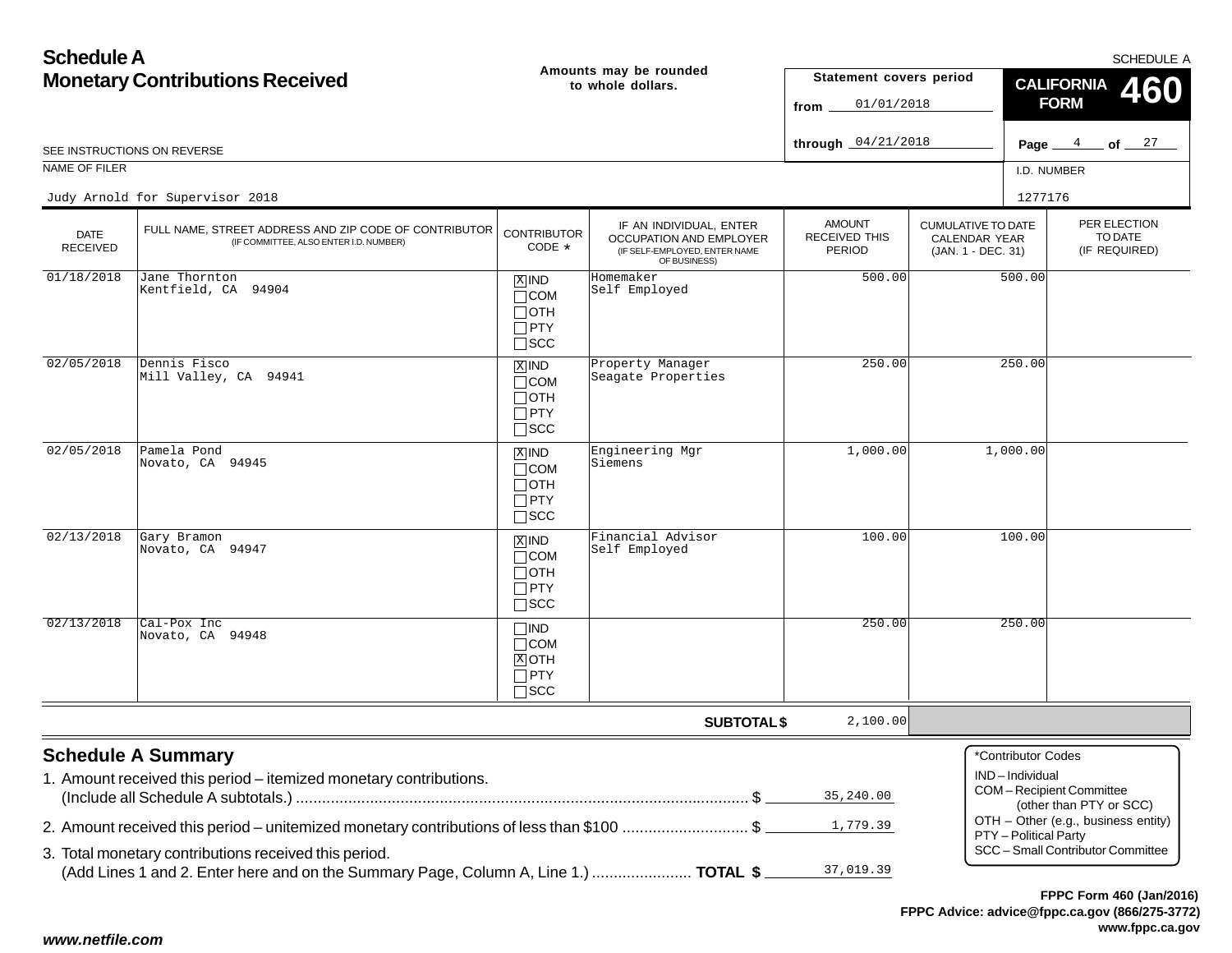| <b>Schedule A</b>                      |                                                                                                 |                                                                    |                                                                                                            |                                                 | SCHEDULE A                                                              |                                         |                                                    |  |
|----------------------------------------|-------------------------------------------------------------------------------------------------|--------------------------------------------------------------------|------------------------------------------------------------------------------------------------------------|-------------------------------------------------|-------------------------------------------------------------------------|-----------------------------------------|----------------------------------------------------|--|
| <b>Monetary Contributions Received</b> |                                                                                                 |                                                                    | Amounts may be rounded<br>to whole dollars.                                                                | Statement covers period<br>01/01/2018<br>from   |                                                                         | <b>CALIFORNIA</b><br>460<br><b>FORM</b> |                                                    |  |
|                                        | SEE INSTRUCTIONS ON REVERSE                                                                     |                                                                    |                                                                                                            | through $04/21/2018$                            |                                                                         |                                         | Page $4$ of $27$                                   |  |
| <b>NAME OF FILER</b>                   |                                                                                                 |                                                                    |                                                                                                            |                                                 |                                                                         | I.D. NUMBER                             |                                                    |  |
|                                        | Judy Arnold for Supervisor 2018                                                                 |                                                                    |                                                                                                            |                                                 |                                                                         | 1277176                                 |                                                    |  |
| <b>DATE</b><br><b>RECEIVED</b>         | FULL NAME, STREET ADDRESS AND ZIP CODE OF CONTRIBUTOR<br>(IF COMMITTEE, ALSO ENTER I.D. NUMBER) | <b>CONTRIBUTOR</b><br>CODE *                                       | IF AN INDIVIDUAL, ENTER<br><b>OCCUPATION AND EMPLOYER</b><br>(IF SELF-EMPLOYED, ENTER NAME<br>OF BUSINESS) | <b>AMOUNT</b><br>RECEIVED THIS<br><b>PERIOD</b> | <b>CUMULATIVE TO DATE</b><br><b>CALENDAR YEAR</b><br>(JAN. 1 - DEC. 31) |                                         | PER ELECTION<br>TO DATE<br>(IF REQUIRED)           |  |
| 01/18/2018                             | Jane Thornton<br>Kentfield, CA 94904                                                            | $X$ IND<br>$\Box$ COM<br>$\Box$ OTH<br>$\Box$ PTY<br>$\square$ SCC | Homemaker<br>Self Employed                                                                                 | 500.00                                          |                                                                         | 500.00                                  |                                                    |  |
| 02/05/2018                             | Dennis Fisco<br>Mill Valley, CA 94941                                                           | $X$ IND<br>$\Box$ COM<br>$\Box$ OTH<br>$\Box$ PTY<br>$\square$ SCC | Property Manager<br>Seagate Properties                                                                     | 250.00                                          | 250.00                                                                  |                                         |                                                    |  |
| 02/05/2018                             | Pamela Pond<br>Novato, CA 94945                                                                 | $X$ IND<br>$\Box$ COM<br>$\Box$ OTH<br>$\Box$ PTY<br>$\square$ SCC | Engineering Mgr<br>Siemens                                                                                 | 1,000.00                                        | 1,000.00                                                                |                                         |                                                    |  |
| 02/13/2018                             | Gary Bramon<br>Novato, CA 94947                                                                 | $X$ IND<br>$\Box$ COM<br>$\Box$ OTH<br>$\Box$ PTY<br>$\square$ SCC | Financial Advisor<br>Self Employed                                                                         | 100.00                                          |                                                                         | 100.00                                  |                                                    |  |
| 02/13/2018                             | Cal-Pox Inc<br>Novato, CA 94948                                                                 | $\Box$ IND<br>$\Box$ COM<br>$X$ OTH<br>$\Box$ PTY<br>$\Box$ SCC    |                                                                                                            | 250.00                                          |                                                                         | 250.00                                  |                                                    |  |
|                                        |                                                                                                 |                                                                    | <b>SUBTOTAL \$</b>                                                                                         | 2,100.00                                        |                                                                         |                                         |                                                    |  |
|                                        | <b>Schedule A Summary</b><br>1. Amount received this period - itemized monetary contributions.  |                                                                    |                                                                                                            | 35,240.00                                       |                                                                         | *Contributor Codes<br>IND-Individual    | COM-Recipient Committee<br>(other than PTY or SCC) |  |
|                                        | 2. Amount received this period – unitemized monetary contributions of less than \$100 \$        |                                                                    |                                                                                                            | 1,779.39                                        |                                                                         | PTY - Political Party                   | OTH - Other (e.g., business entity)                |  |
|                                        | 3. Total monetary contributions received this period.                                           |                                                                    |                                                                                                            |                                                 |                                                                         |                                         | SCC - Small Contributor Committee                  |  |
|                                        | (Add Lines 1 and 2. Enter here and on the Summary Page, Column A, Line 1.)  TOTAL \$            |                                                                    |                                                                                                            | 37,019.39                                       |                                                                         |                                         |                                                    |  |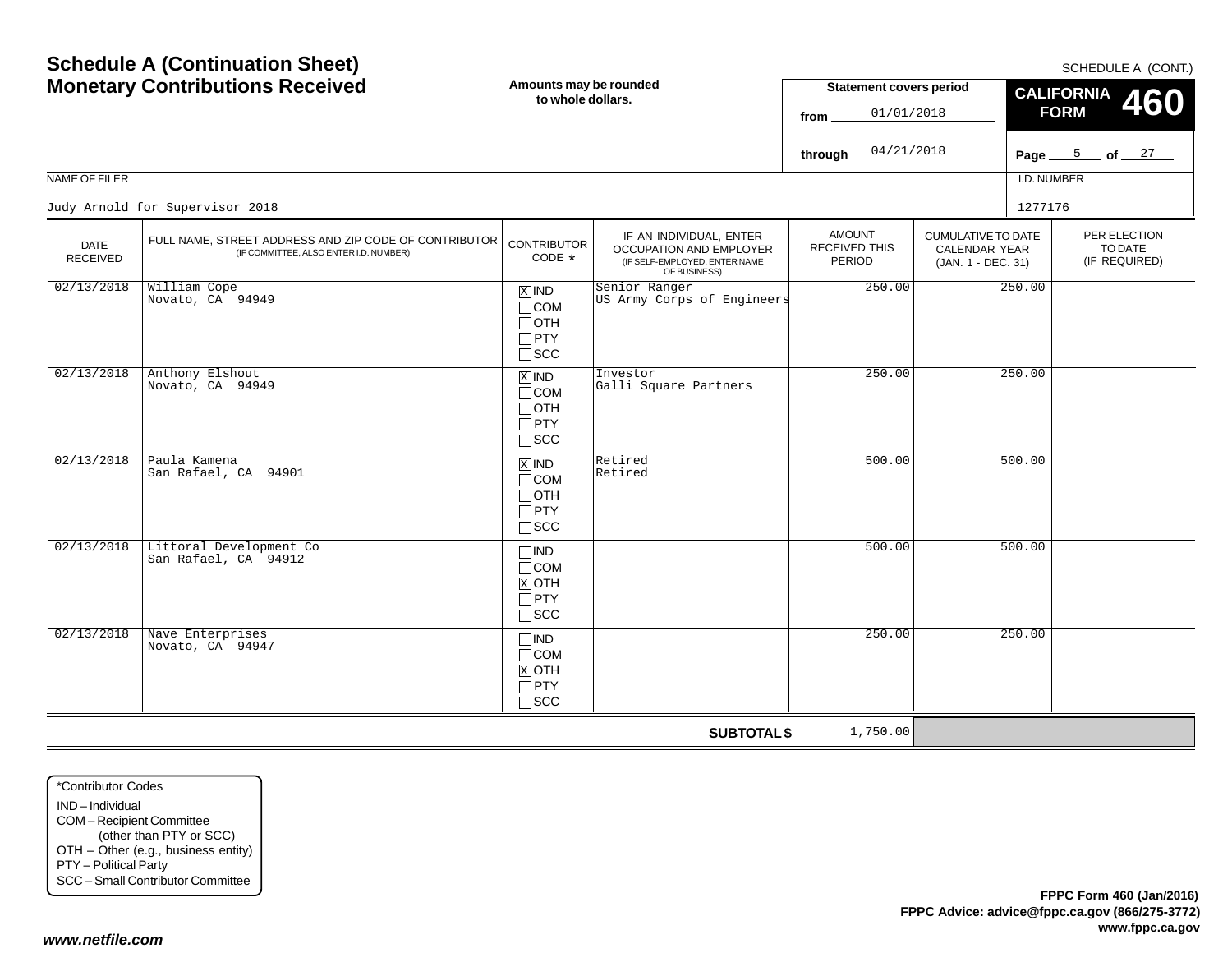| <b>Schedule A (Continuation Sheet)</b><br><b>Monetary Contributions Received</b> |                                                                                                 | Amounts may be rounded<br>to whole dollars.                                      |                                                                                                     | <b>Statement covers period</b><br>01/01/2018<br>from |                                                                  | SCHEDULE A (CONT.)<br><b>CALIFORNIA</b><br><b>460</b><br><b>FORM</b> |  |
|----------------------------------------------------------------------------------|-------------------------------------------------------------------------------------------------|----------------------------------------------------------------------------------|-----------------------------------------------------------------------------------------------------|------------------------------------------------------|------------------------------------------------------------------|----------------------------------------------------------------------|--|
|                                                                                  |                                                                                                 |                                                                                  |                                                                                                     | 04/21/2018<br>through                                |                                                                  | Page $\frac{5}{27}$ of $\frac{27}{27}$                               |  |
| NAME OF FILER                                                                    |                                                                                                 |                                                                                  |                                                                                                     |                                                      |                                                                  | I.D. NUMBER                                                          |  |
|                                                                                  | Judy Arnold for Supervisor 2018                                                                 |                                                                                  |                                                                                                     |                                                      |                                                                  | 1277176                                                              |  |
| <b>DATE</b><br><b>RECEIVED</b>                                                   | FULL NAME, STREET ADDRESS AND ZIP CODE OF CONTRIBUTOR<br>(IF COMMITTEE, ALSO ENTER I.D. NUMBER) | <b>CONTRIBUTOR</b><br>CODE *                                                     | IF AN INDIVIDUAL, ENTER<br>OCCUPATION AND EMPLOYER<br>(IF SELF-EMPLOYED, ENTER NAME<br>OF BUSINESS) | <b>AMOUNT</b><br>RECEIVED THIS<br>PERIOD             | <b>CUMULATIVE TO DATE</b><br>CALENDAR YEAR<br>(JAN. 1 - DEC. 31) | PER ELECTION<br>TO DATE<br>(IF REQUIRED)                             |  |
| 02/13/2018                                                                       | William Cope<br>Novato, CA 94949                                                                | $\overline{X}$ IND<br>$\Box$ COM<br>$\Box$ OTH<br>$\square$ PTY<br>$\square$ SCC | Senior Ranger<br>US Army Corps of Engineers                                                         | 250.00                                               |                                                                  | 250.00                                                               |  |
| 02/13/2018                                                                       | Anthony Elshout<br>Novato, CA 94949                                                             | $\overline{X}$ IND<br>$\Box$ COM<br>$\Box$ oth<br>$\Box$ PTY<br>$\Box$ SCC       | Investor<br>Galli Square Partners                                                                   | 250.00                                               |                                                                  | 250.00                                                               |  |
| 02/13/2018                                                                       | Paula Kamena<br>San Rafael, CA 94901                                                            | $X$ IND<br>$\Box$ COM<br>$\Box$ OTH<br>$\Box$ PTY<br>$\Box$ scc                  | Retired<br>Retired                                                                                  | 500.00                                               |                                                                  | 500.00                                                               |  |
| 02/13/2018                                                                       | Littoral Development Co<br>San Rafael, CA 94912                                                 | $\square$ IND<br>$\Box$ COM<br>$X$ OTH<br>$\Box$ PTY<br>$\Box$ scc               |                                                                                                     | 500.00                                               |                                                                  | 500.00                                                               |  |
| 02/13/2018                                                                       | Nave Enterprises<br>Novato, CA 94947                                                            | $\Box$ IND<br>$\Box$ COM<br>$X$ OTH<br>$\Box$ PTY<br>$\Box$ scc                  |                                                                                                     | 250.00                                               |                                                                  | 250.00                                                               |  |
|                                                                                  |                                                                                                 |                                                                                  | <b>SUBTOTAL \$</b>                                                                                  | 1,750.00                                             |                                                                  |                                                                      |  |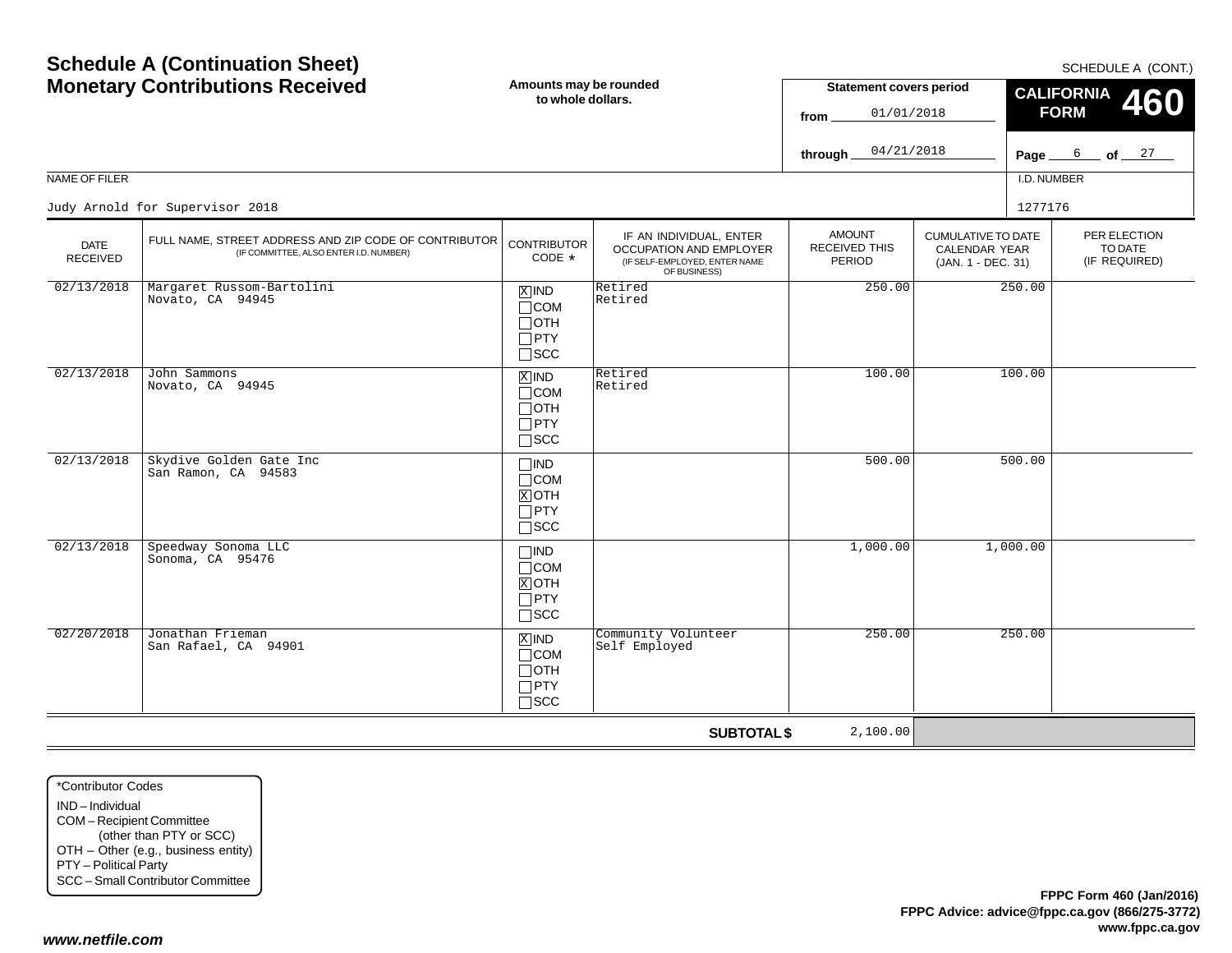| <b>MUNICIAL Y CONTRIBUTIONS</b> INCLETVED |                                                                                                 | to whole dollars.                                                  |                                                                                                     | Statement Covers period<br>01/01/2018<br>from. |                                                                  | CALIFORNIA 460<br><b>FORM</b>            |  |  |
|-------------------------------------------|-------------------------------------------------------------------------------------------------|--------------------------------------------------------------------|-----------------------------------------------------------------------------------------------------|------------------------------------------------|------------------------------------------------------------------|------------------------------------------|--|--|
|                                           |                                                                                                 |                                                                    |                                                                                                     | 04/21/2018<br>through _                        |                                                                  | Page $6$ of $27$                         |  |  |
| NAME OF FILER                             |                                                                                                 |                                                                    |                                                                                                     |                                                |                                                                  | I.D. NUMBER                              |  |  |
|                                           | Judy Arnold for Supervisor 2018                                                                 |                                                                    |                                                                                                     |                                                |                                                                  | 1277176                                  |  |  |
| <b>DATE</b><br>RECEIVED                   | FULL NAME, STREET ADDRESS AND ZIP CODE OF CONTRIBUTOR<br>(IF COMMITTEE, ALSO ENTER I.D. NUMBER) | <b>CONTRIBUTOR</b><br>CODE *                                       | IF AN INDIVIDUAL, ENTER<br>OCCUPATION AND EMPLOYER<br>(IF SELF-EMPLOYED, ENTER NAME<br>OF BUSINESS) | <b>AMOUNT</b><br>RECEIVED THIS<br>PERIOD       | <b>CUMULATIVE TO DATE</b><br>CALENDAR YEAR<br>(JAN. 1 - DEC. 31) | PER ELECTION<br>TO DATE<br>(IF REQUIRED) |  |  |
| 02/13/2018                                | Margaret Russom-Bartolini<br>Novato, CA 94945                                                   | $X$ IND<br>$\Box$ COM<br>$\Box$ OTH<br>$\Box$ PTY<br>$\Box$ SCC    | Retired<br>Retired                                                                                  | 250.00                                         | 250.00                                                           |                                          |  |  |
| 02/13/2018                                | John Sammons<br>Novato, CA 94945                                                                | $X$ IND<br>$\Box$ COM<br>$\Box$ OTH<br>$\Box$ PTY<br>$\Box$ SCC    | Retired<br>Retired                                                                                  | 100.00                                         | 100.00                                                           |                                          |  |  |
| 02/13/2018                                | Skydive Golden Gate Inc<br>San Ramon, CA 94583                                                  | $\Box$ IND<br>$\Box$ COM<br>$X$ OTH<br>$\Box$ PTY<br>$\square$ SCC |                                                                                                     | 500.00                                         | 500.00                                                           |                                          |  |  |
| 02/13/2018                                | Speedway Sonoma LLC<br>Sonoma, CA 95476                                                         | $\Box$ IND<br>$\Box$ COM<br>$X$ OTH<br>$\Box$ PTY<br>$\square$ SCC |                                                                                                     | 1,000.00                                       | 1,000.00                                                         |                                          |  |  |
| 02/20/2018                                | Jonathan Frieman<br>San Rafael, CA 94901                                                        | $X$ IND<br>$\Box$ COM<br>$\Box$ OTH<br>$\Box$ PTY<br>$\Box$ scc    | Community Volunteer<br>Self Employed                                                                | 250.00                                         | 250.00                                                           |                                          |  |  |
|                                           |                                                                                                 |                                                                    | <b>SUBTOTAL \$</b>                                                                                  | 2,100.00                                       |                                                                  |                                          |  |  |

\*Contributor CodesIND – IndividualCOM – Recipient Committee (other than PTY or SCC) OTH – Other (e.g., business entity) PTY – Political Party SCC – Small Contributor Committee

### *www.netfile.com*

SCHEDULE A (CONT.)

**Statement covers period**

# **Schedule A (Continuation Sheet) Monetary Contributions Received**

**Amounts may be rounded to whole dollars.**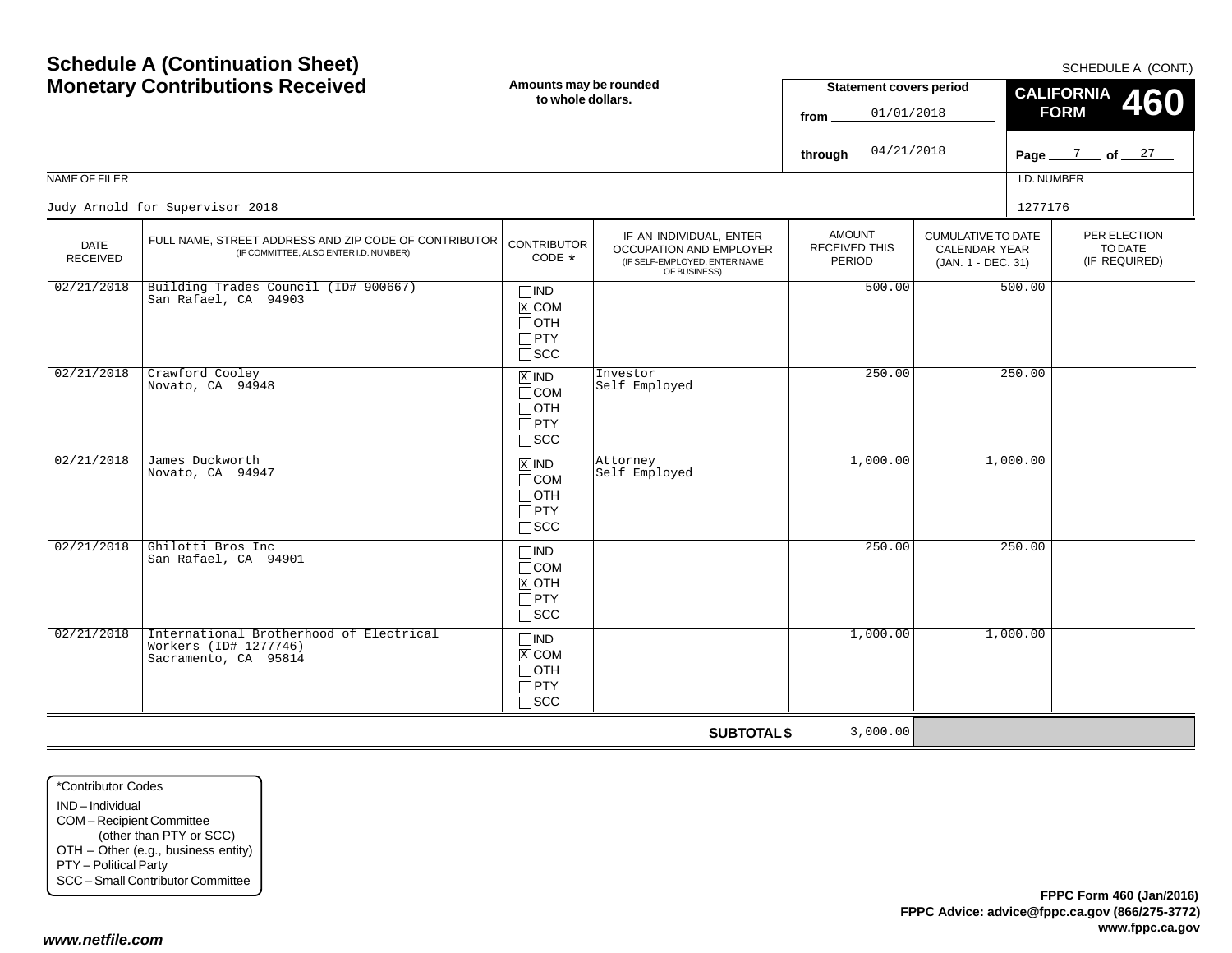|                                | <b>Monetary Contributions Received</b><br>Amounts may be rounded<br><b>Statement covers period</b><br>to whole dollars.<br>01/01/2018<br>from<br>04/21/2018 |                                                                            |                                                                                                     | <b>CALIFORNIA</b><br><b>460</b><br><b>FORM</b>  |                                                                         |             |                                          |
|--------------------------------|-------------------------------------------------------------------------------------------------------------------------------------------------------------|----------------------------------------------------------------------------|-----------------------------------------------------------------------------------------------------|-------------------------------------------------|-------------------------------------------------------------------------|-------------|------------------------------------------|
| NAME OF FILER                  |                                                                                                                                                             |                                                                            |                                                                                                     | through                                         |                                                                         | I.D. NUMBER | Page $\frac{7}{2}$ of $\frac{27}{2}$     |
|                                |                                                                                                                                                             |                                                                            |                                                                                                     |                                                 |                                                                         |             |                                          |
|                                | Judy Arnold for Supervisor 2018                                                                                                                             |                                                                            |                                                                                                     |                                                 |                                                                         | 1277176     |                                          |
| <b>DATE</b><br><b>RECEIVED</b> | FULL NAME, STREET ADDRESS AND ZIP CODE OF CONTRIBUTOR<br>(IF COMMITTEE, ALSO ENTER I.D. NUMBER)                                                             | <b>CONTRIBUTOR</b><br>CODE *                                               | IF AN INDIVIDUAL, ENTER<br>OCCUPATION AND EMPLOYER<br>(IF SELF-EMPLOYED, ENTER NAME<br>OF BUSINESS) | <b>AMOUNT</b><br><b>RECEIVED THIS</b><br>PERIOD | <b>CUMULATIVE TO DATE</b><br><b>CALENDAR YEAR</b><br>(JAN. 1 - DEC. 31) |             | PER ELECTION<br>TO DATE<br>(IF REQUIRED) |
| 02/21/2018                     | Building Trades Council (ID# 900667)<br>San Rafael, CA 94903                                                                                                | $\Box$ IND<br>$X$ COM<br>$\Box$ OTH<br>$\Box$ PTY<br>$\Box$ scc            |                                                                                                     | 500.00                                          |                                                                         | 500.00      |                                          |
| 02/21/2018                     | Crawford Cooley<br>Novato, CA 94948                                                                                                                         | $X$ IND<br>$\Box$ COM<br>$\Box$ OTH<br>$\Box$ PTY<br>$\square$ scc         | Investor<br>Self Employed                                                                           | 250.00                                          |                                                                         | 250.00      |                                          |
| 02/21/2018                     | James Duckworth<br>Novato, CA 94947                                                                                                                         | $\overline{X}$ IND<br>$\Box$ COM<br>$\Box$ OTH<br>$\Box$ PTY<br>$\Box$ scc | Attorney<br>Self Employed                                                                           | 1,000.00                                        |                                                                         | 1,000.00    |                                          |
| 02/21/2018                     | Ghilotti Bros Inc<br>San Rafael, CA 94901                                                                                                                   | $\Box$ IND<br>$\Box$ COM<br>$X$ OTH<br>$\Box$ PTY<br>$\square$ scc         |                                                                                                     | 250.00                                          |                                                                         | 250.00      |                                          |
| 02/21/2018                     | International Brotherhood of Electrical<br>Workers (ID# 1277746)<br>Sacramento, CA 95814                                                                    | $\Box$ IND<br>$X$ COM<br>$\Box$ OTH<br>$\Box$ PTY<br>$\Box$ scc            |                                                                                                     | 1,000.00                                        |                                                                         | 1,000.00    |                                          |
|                                |                                                                                                                                                             |                                                                            | <b>SUBTOTAL \$</b>                                                                                  | 3,000.00                                        |                                                                         |             |                                          |

#### SCHEDULE A (CONT.)

# **Schedule A (Continuation Sheet) Monetary Contributions Received**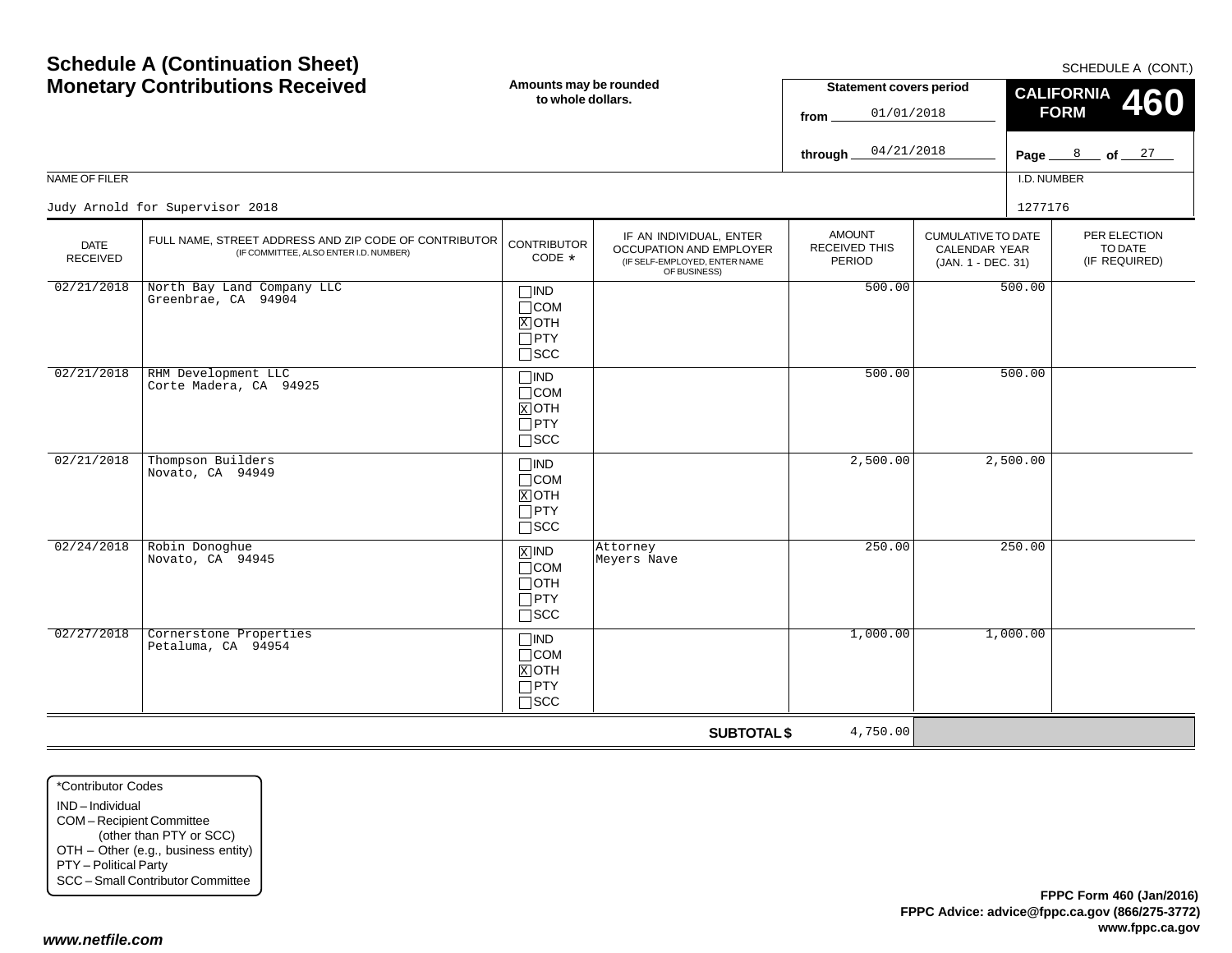#### \*Contributor CodesIND – IndividualCOM – Recipient Committee (other than PTY or SCC) OTH – Other (e.g., business entity) PTY – Political Party SCC – Small Contributor Committee SCCINDCOMOTHPTYSCCINDCOMOTHPTYSCCINDCOMOTHPTYSCC02/21/20188 Thompson Builders Novato, CA 94949X02/24/20188 Robin Donoghue Novato, CA 9494502/27/20188 Cornerstone Properties Petaluma, CA 94954X

**Schedule A (Continuation Sheet)**

| <b>Monetary Contributions Received</b> |                                                                                                 | Amounts may be rounded<br>to whole dollars.                           |                                                                                                     | <b>Statement covers period</b><br>01/01/2018<br>from<br>04/21/2018 |                                                                  | <b>CALIFORNIA</b><br>460<br><b>FORM</b> |                         |
|----------------------------------------|-------------------------------------------------------------------------------------------------|-----------------------------------------------------------------------|-----------------------------------------------------------------------------------------------------|--------------------------------------------------------------------|------------------------------------------------------------------|-----------------------------------------|-------------------------|
|                                        |                                                                                                 |                                                                       |                                                                                                     | through                                                            |                                                                  | Page $\frac{8}{27}$ of $\frac{27}{7}$   |                         |
| NAME OF FILER                          |                                                                                                 |                                                                       |                                                                                                     |                                                                    |                                                                  | I.D. NUMBER                             |                         |
|                                        | Judy Arnold for Supervisor 2018                                                                 |                                                                       |                                                                                                     |                                                                    |                                                                  | 1277176                                 |                         |
| <b>DATE</b><br><b>RECEIVED</b>         | FULL NAME, STREET ADDRESS AND ZIP CODE OF CONTRIBUTOR<br>(IF COMMITTEE, ALSO ENTER I.D. NUMBER) | <b>CONTRIBUTOR</b><br>CODE *                                          | IF AN INDIVIDUAL, ENTER<br>OCCUPATION AND EMPLOYER<br>(IF SELF-EMPLOYED, ENTER NAME<br>OF BUSINESS) | <b>AMOUNT</b><br>RECEIVED THIS<br><b>PERIOD</b>                    | <b>CUMULATIVE TO DATE</b><br>CALENDAR YEAR<br>(JAN. 1 - DEC. 31) | (IF REQUIRED)                           | PER ELECTION<br>TO DATE |
| 02/21/2018                             | North Bay Land Company LLC<br>Greenbrae, CA 94904                                               | $\Box$ IND<br>$\Box$ COM<br>$X$ OTH<br>$\Box$ PTY<br>$\square$ SCC    |                                                                                                     | 500.00                                                             |                                                                  | 500.00                                  |                         |
| 02/21/2018                             | RHM Development LLC<br>Corte Madera, CA 94925                                                   | $\Box$ IND<br>$\Box$ COM<br>$X$ OTH<br>$\Box$ PTY<br>$\square$ SCC    |                                                                                                     | 500.00                                                             |                                                                  | 500.00                                  |                         |
| 02/21/2018                             | Thompson Builders<br>Novato, CA 94949                                                           | $\square$ IND<br>$\Box$ COM<br>$X$ OTH<br>$\Box$ PTY<br>$\square$ SCC |                                                                                                     | 2,500.00                                                           |                                                                  | 2,500.00                                |                         |
| 02/24/2018                             | Robin Donoghue<br>Novato, CA 94945                                                              | $X$ IND<br>$\Box$ COM<br>$\Box$ OTH<br>$\Box$ PTY<br>$\square$ SCC    | Attorney<br>Meyers Nave                                                                             | 250.00                                                             |                                                                  | 250.00                                  |                         |
| 02/27/2018                             | Cornerstone Properties<br>Petaluma, CA 94954                                                    | $\Box$ IND<br>$\Box$ COM<br>$X$ OTH<br>$\Box$ PTY<br>$\square$ SCC    |                                                                                                     | 1,000.00                                                           |                                                                  | 1,000.00                                |                         |
|                                        |                                                                                                 |                                                                       | <b>SUBTOTAL \$</b>                                                                                  | 4,750.00                                                           |                                                                  |                                         |                         |

SCHEDULE A (CONT.)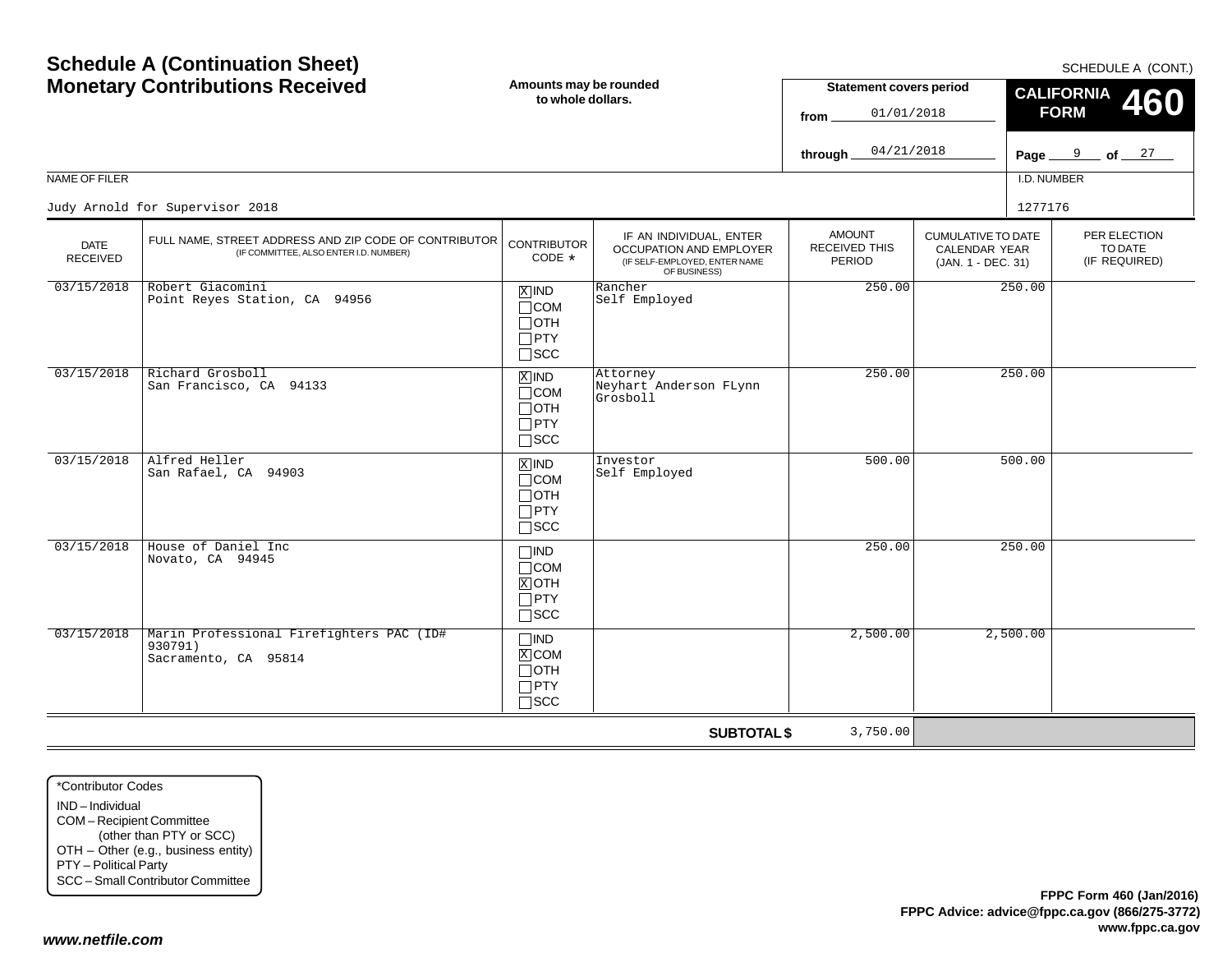| NAME OF FILER                  | <b>Monetary Contributions Received</b>                                                          | Amounts may be rounded<br>to whole dollars.                                   |                                                                                                     | <b>Statement covers period</b><br>01/01/2018<br>from.<br>04/21/2018<br>through $\overline{\phantom{a}}$ |                                                                         | I.D. NUMBER | <b>CALIFORNIA</b><br>460<br><b>FORM</b><br>Page $9$ of $27$ |
|--------------------------------|-------------------------------------------------------------------------------------------------|-------------------------------------------------------------------------------|-----------------------------------------------------------------------------------------------------|---------------------------------------------------------------------------------------------------------|-------------------------------------------------------------------------|-------------|-------------------------------------------------------------|
|                                | Judy Arnold for Supervisor 2018                                                                 |                                                                               |                                                                                                     |                                                                                                         |                                                                         | 1277176     |                                                             |
| <b>DATE</b><br><b>RECEIVED</b> | FULL NAME, STREET ADDRESS AND ZIP CODE OF CONTRIBUTOR<br>(IF COMMITTEE, ALSO ENTER I.D. NUMBER) | <b>CONTRIBUTOR</b><br>CODE $*$                                                | IF AN INDIVIDUAL, ENTER<br>OCCUPATION AND EMPLOYER<br>(IF SELF-EMPLOYED, ENTER NAME<br>OF BUSINESS) | <b>AMOUNT</b><br>RECEIVED THIS<br>PERIOD                                                                | <b>CUMULATIVE TO DATE</b><br><b>CALENDAR YEAR</b><br>(JAN. 1 - DEC. 31) |             | PER ELECTION<br>TO DATE<br>(IF REQUIRED)                    |
| 03/15/2018                     | Robert Giacomini<br>Point Reyes Station, CA 94956                                               | $X$ IND<br>$\Box$ COM<br>$\Box$ OTH<br>$\Box$ PTY<br>$\square$ SCC            | Rancher<br>Self Employed                                                                            | 250.00                                                                                                  |                                                                         | 250.00      |                                                             |
| 03/15/2018                     | Richard Grosboll<br>San Francisco, CA 94133                                                     | $\overline{X}$ IND<br>$\Box$ COM<br>$\Box$ OTH<br>$\Box$ PTY<br>$\square$ SCC | Attorney<br>Neyhart Anderson FLynn<br>Grosboll                                                      | 250.00                                                                                                  |                                                                         | 250.00      |                                                             |
| 03/15/2018                     | Alfred Heller<br>San Rafael, CA 94903                                                           | $X$ IND<br>$\Box$ COM<br>$\Box$ OTH<br>$\Box$ PTY<br>$\square$ SCC            | Investor<br>Self Employed                                                                           | 500.00                                                                                                  |                                                                         | 500.00      |                                                             |
| 03/15/2018                     | House of Daniel Inc<br>Novato, CA 94945                                                         | $\Box$ IND<br>$\Box$ COM<br>$X$ OTH<br>$\Box$ PTY<br>$\square$ SCC            |                                                                                                     | 250.00                                                                                                  |                                                                         | 250.00      |                                                             |
| 03/15/2018                     | Marin Professional Firefighters PAC (ID#<br>930791)<br>Sacramento, CA 95814                     | $\square$ IND<br>X COM<br>$\Box$ oth<br>$\Box$ PTY<br>$\square$ SCC           |                                                                                                     | 2,500.00                                                                                                |                                                                         | 2,500.00    |                                                             |
|                                |                                                                                                 |                                                                               | <b>SUBTOTAL \$</b>                                                                                  | 3,750.00                                                                                                |                                                                         |             |                                                             |

\*Contributor CodesIND – Individual COM – Recipient Committee (other than PTY or SCC) OTH – Other (e.g., business entity) PTY – Political Party SCC – Small Contributor Committee

**Schedule A (Continuation Sheet)**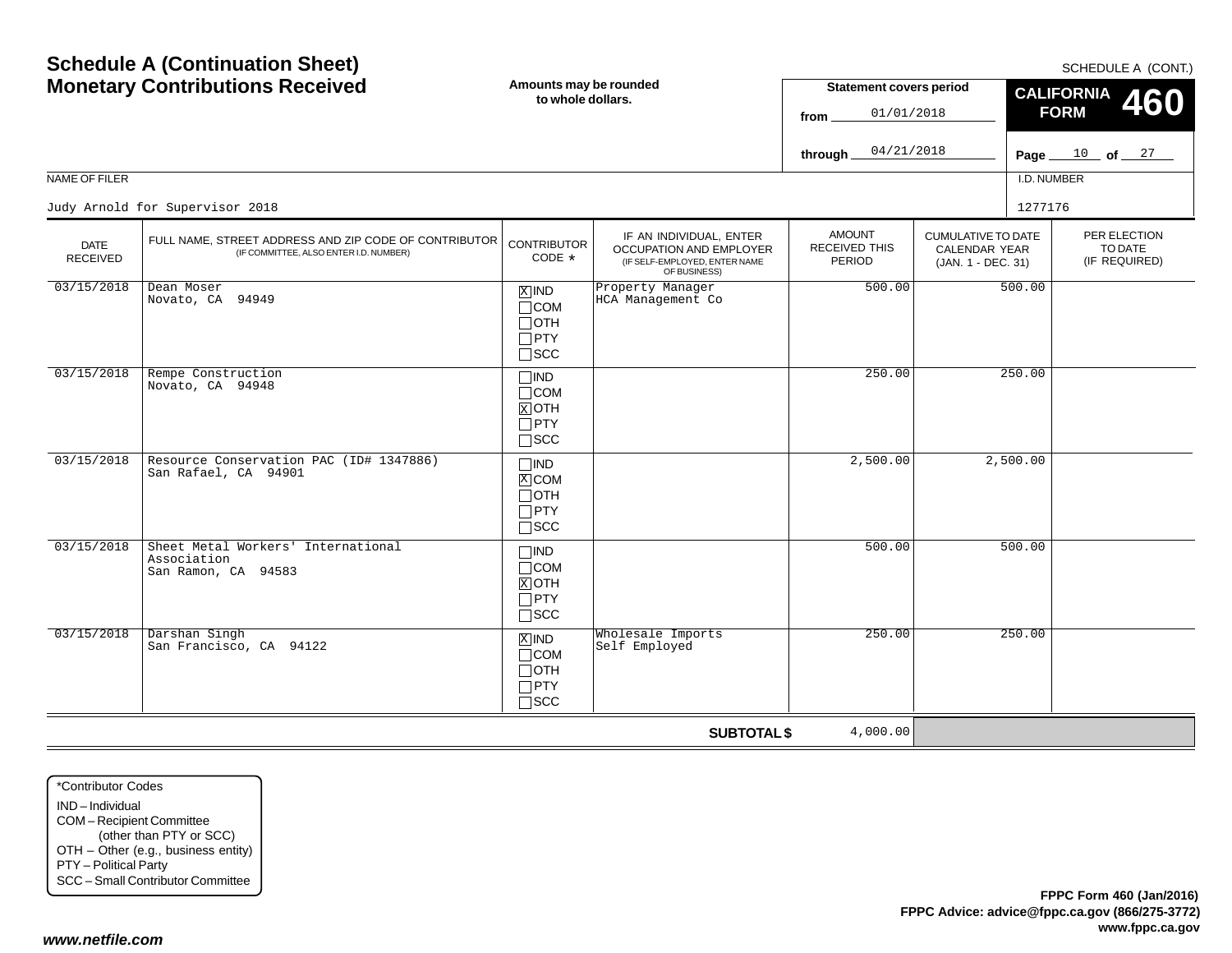#### *www.netfile.com*

| <b>MONEGRY CONTRIBUTIONS RECEIVED</b> |                                                                                                 | to whole dollars.                                                             |                                                                                                     | <b>Statement Covers period</b><br>01/01/2018<br>from |                                                                         | $\frac{\text{CALIFORNIA}}{\text{FORM}}$ 460<br><b>FORM</b> |  |
|---------------------------------------|-------------------------------------------------------------------------------------------------|-------------------------------------------------------------------------------|-----------------------------------------------------------------------------------------------------|------------------------------------------------------|-------------------------------------------------------------------------|------------------------------------------------------------|--|
|                                       |                                                                                                 |                                                                               |                                                                                                     | 04/21/2018<br>through.                               |                                                                         | Page $10$ of $27$                                          |  |
| NAME OF FILER                         |                                                                                                 |                                                                               |                                                                                                     |                                                      |                                                                         | I.D. NUMBER                                                |  |
|                                       | Judy Arnold for Supervisor 2018                                                                 |                                                                               |                                                                                                     |                                                      |                                                                         | 1277176                                                    |  |
| <b>DATE</b><br><b>RECEIVED</b>        | FULL NAME, STREET ADDRESS AND ZIP CODE OF CONTRIBUTOR<br>(IF COMMITTEE, ALSO ENTER I.D. NUMBER) | <b>CONTRIBUTOR</b><br>CODE *                                                  | IF AN INDIVIDUAL, ENTER<br>OCCUPATION AND EMPLOYER<br>(IF SELF-EMPLOYED, ENTER NAME<br>OF BUSINESS) | <b>AMOUNT</b><br><b>RECEIVED THIS</b><br>PERIOD      | <b>CUMULATIVE TO DATE</b><br><b>CALENDAR YEAR</b><br>(JAN. 1 - DEC. 31) | PER ELECTION<br>TO DATE<br>(IF REQUIRED)                   |  |
| 03/15/2018                            | Dean Moser<br>Novato, CA 94949                                                                  | $X$ IND<br>$\Box$ COM<br>$\Box$ OTH<br>$\Box$ PTY<br>$\Box$ scc               | Property Manager<br>HCA Management Co                                                               | 500.00                                               | 500.00                                                                  |                                                            |  |
| 03/15/2018                            | Rempe Construction<br>Novato, CA 94948                                                          | $\square$ IND<br>$\Box$ COM<br>$\overline{X}$ OTH<br>$\Box$ PTY<br>$\Box$ scc |                                                                                                     | 250.00                                               | 250.00                                                                  |                                                            |  |
| 03/15/2018                            | Resource Conservation PAC (ID# 1347886)<br>San Rafael, CA 94901                                 | $\Box$ IND<br>$\overline{X}$ COM<br>$\Box$ OTH<br>$\Box$ PTY<br>$\square$ SCC |                                                                                                     | 2,500.00                                             | 2,500.00                                                                |                                                            |  |
| 03/15/2018                            | Sheet Metal Workers' International<br>Association<br>San Ramon, CA 94583                        | $\Box$ IND<br>$\Box$ COM<br>$\overline{X}$ OTH<br>$\Box$ PTY<br>$\square$ SCC |                                                                                                     | 500.00                                               | 500.00                                                                  |                                                            |  |
| 03/15/2018                            | Darshan Singh<br>San Francisco, CA 94122                                                        | $X$ IND<br>$\Box$ COM<br>$\Box$ OTH<br>$\Box$ PTY<br>$\square$ SCC            | Wholesale Imports<br>Self Employed                                                                  | 250.00                                               | 250.00                                                                  |                                                            |  |
|                                       |                                                                                                 |                                                                               | <b>SUBTOTAL \$</b>                                                                                  | 4,000.00                                             |                                                                         |                                                            |  |

SCHEDULE A (CONT.)

**Statement covers period**

# **Schedule A (Continuation Sheet) Monetary Contributions Received**

**Amounts may be rounded to whole dollars.**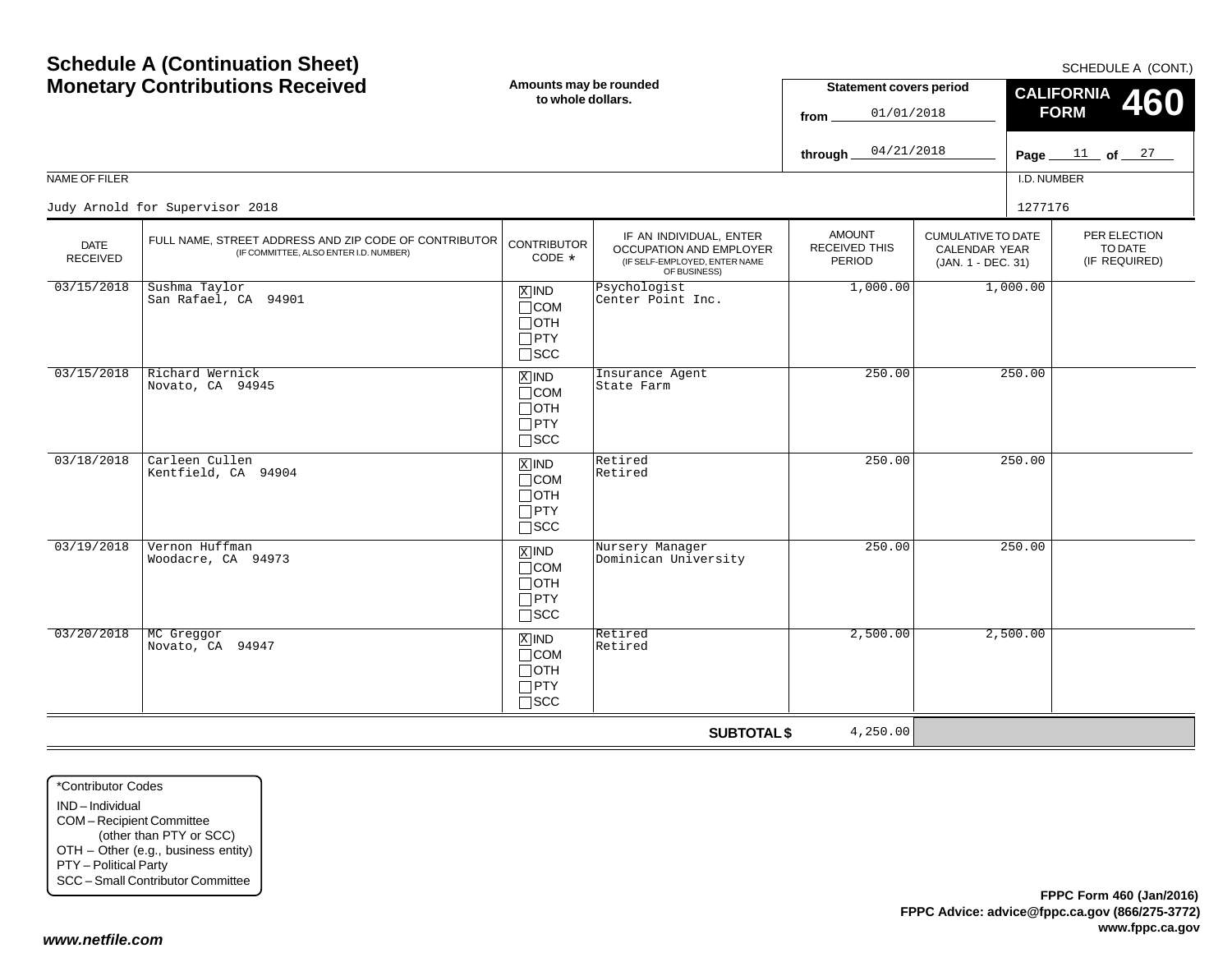| <b>Monetary Contributions Received</b> |                                                                                                 | Amounts may be rounded<br>to whole dollars.                                   |                                                                                                     | <b>Statement covers period</b><br>01/01/2018<br>from |                                                                  | <b>CALIFORNIA</b><br>460<br><b>FORM</b> |                                          |
|----------------------------------------|-------------------------------------------------------------------------------------------------|-------------------------------------------------------------------------------|-----------------------------------------------------------------------------------------------------|------------------------------------------------------|------------------------------------------------------------------|-----------------------------------------|------------------------------------------|
|                                        |                                                                                                 |                                                                               |                                                                                                     | 04/21/2018<br>through.                               |                                                                  |                                         | Page $11$ of $27$                        |
| <b>NAME OF FILER</b>                   |                                                                                                 |                                                                               |                                                                                                     |                                                      |                                                                  | I.D. NUMBER                             |                                          |
|                                        | Judy Arnold for Supervisor 2018                                                                 |                                                                               |                                                                                                     |                                                      |                                                                  | 1277176                                 |                                          |
| <b>DATE</b><br>RECEIVED                | FULL NAME, STREET ADDRESS AND ZIP CODE OF CONTRIBUTOR<br>(IF COMMITTEE, ALSO ENTER I.D. NUMBER) | <b>CONTRIBUTOR</b><br>CODE *                                                  | IF AN INDIVIDUAL, ENTER<br>OCCUPATION AND EMPLOYER<br>(IF SELF-EMPLOYED, ENTER NAME<br>OF BUSINESS) | <b>AMOUNT</b><br><b>RECEIVED THIS</b><br>PERIOD      | <b>CUMULATIVE TO DATE</b><br>CALENDAR YEAR<br>(JAN. 1 - DEC. 31) |                                         | PER ELECTION<br>TO DATE<br>(IF REQUIRED) |
| 03/15/2018                             | Sushma Taylor<br>San Rafael, CA 94901                                                           | $x$ IND<br>$\Box$ COM<br>$\Box$ OTH<br>$\Box$ PTY<br>$\square$ SCC            | Psychologist<br>Center Point Inc.                                                                   | 1,000.00                                             |                                                                  | 1,000.00                                |                                          |
| 03/15/2018                             | Richard Wernick<br>Novato, CA 94945                                                             | $\overline{X}$ IND<br>$\Box$ COM<br>$\Box$ OTH<br>$\Box$ PTY<br>$\square$ scc | Insurance Agent<br>State Farm                                                                       | 250.00                                               |                                                                  | 250.00                                  |                                          |
| 03/18/2018                             | Carleen Cullen<br>Kentfield, CA 94904                                                           | $X$ IND<br>$\Box$ COM<br>$\Box$ OTH<br>$\Box$ PTY<br>$\square$ SCC            | Retired<br>Retired                                                                                  | 250.00                                               |                                                                  | 250.00                                  |                                          |
| 03/19/2018                             | Vernon Huffman<br>Woodacre, CA 94973                                                            | $X$ IND<br>$\Box$ COM<br>$\Box$ OTH<br>$\Box$ PTY<br>$\square$ SCC            | Nursery Manager<br>Dominican University                                                             | 250.00                                               |                                                                  | 250.00                                  |                                          |
| 03/20/2018                             | MC Greggor<br>Novato, CA 94947                                                                  | $X$ IND<br>$\Box$ COM<br>$\Box$ OTH<br>$\Box$ PTY<br>$\Box$ scc               | Retired<br>Retired                                                                                  | 2,500.00                                             |                                                                  | 2,500.00                                |                                          |
|                                        |                                                                                                 |                                                                               | <b>SUBTOTAL \$</b>                                                                                  | 4,250.00                                             |                                                                  |                                         |                                          |

\*Contributor CodesIND – Individual COM – Recipient Committee (other than PTY or SCC) OTH – Other (e.g., business entity) PTY – Political Party SCC – Small Contributor Committee

**Schedule A (Continuation Sheet)**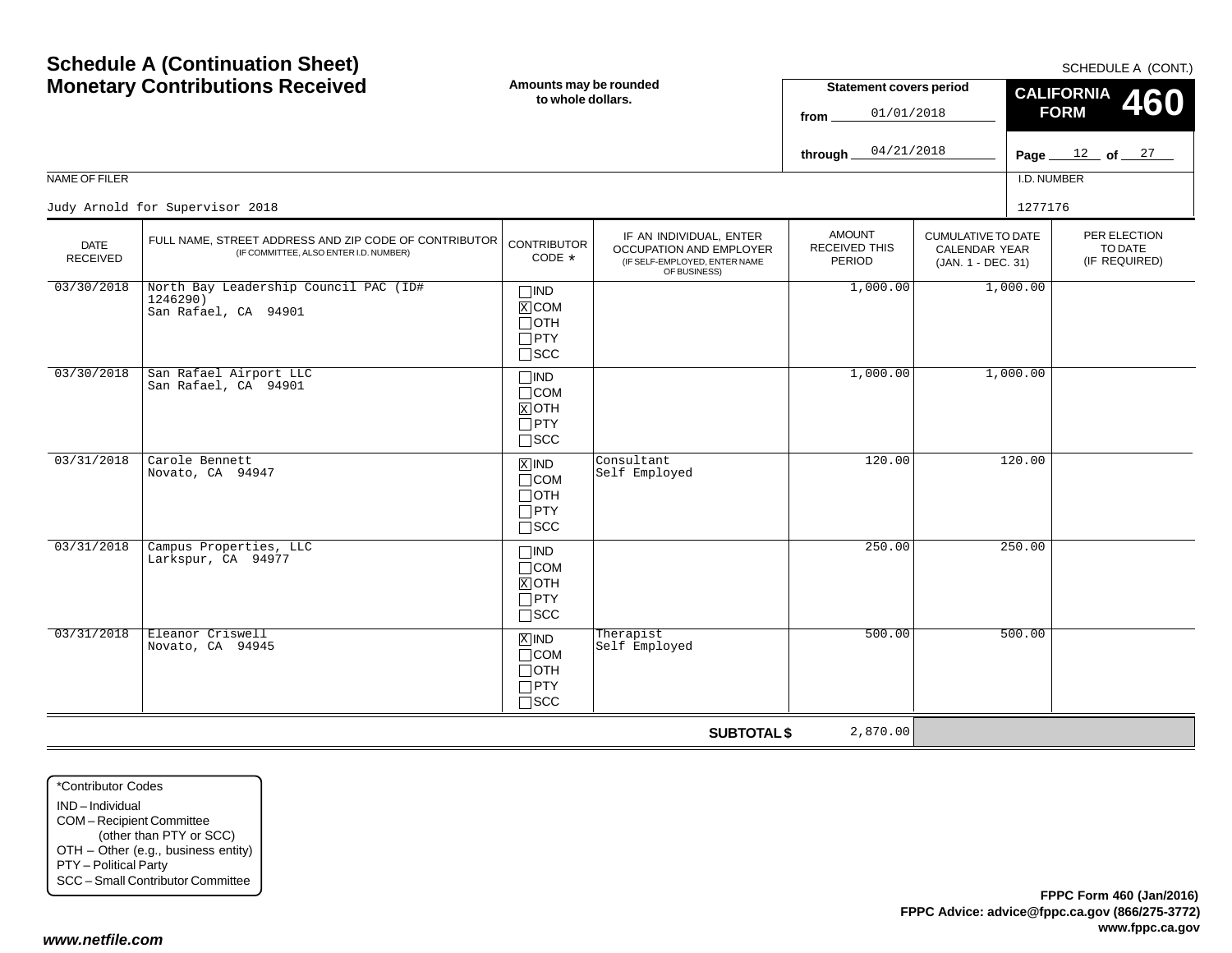| <b>Schedule A (Continuation Sheet)</b><br><b>Monetary Contributions Received</b> |                                                                                                 | Amounts may be rounded<br>to whole dollars.                                     |                                                                                                     | <b>Statement covers period</b><br>01/01/2018<br>from<br>04/21/2018<br>through |                                                                         |             | SCHEDULE A (CONT.)<br><b>CALIFORNIA</b><br>460<br><b>FORM</b><br>Page $12$ of $27$ |  |  |
|----------------------------------------------------------------------------------|-------------------------------------------------------------------------------------------------|---------------------------------------------------------------------------------|-----------------------------------------------------------------------------------------------------|-------------------------------------------------------------------------------|-------------------------------------------------------------------------|-------------|------------------------------------------------------------------------------------|--|--|
| NAME OF FILER                                                                    |                                                                                                 |                                                                                 |                                                                                                     |                                                                               |                                                                         | I.D. NUMBER |                                                                                    |  |  |
|                                                                                  | Judy Arnold for Supervisor 2018                                                                 |                                                                                 |                                                                                                     |                                                                               |                                                                         | 1277176     |                                                                                    |  |  |
| <b>DATE</b><br><b>RECEIVED</b>                                                   | FULL NAME, STREET ADDRESS AND ZIP CODE OF CONTRIBUTOR<br>(IF COMMITTEE, ALSO ENTER I.D. NUMBER) | <b>CONTRIBUTOR</b><br>CODE *                                                    | IF AN INDIVIDUAL, ENTER<br>OCCUPATION AND EMPLOYER<br>(IF SELF-EMPLOYED, ENTER NAME<br>OF BUSINESS) | <b>AMOUNT</b><br><b>RECEIVED THIS</b><br>PERIOD                               | <b>CUMULATIVE TO DATE</b><br><b>CALENDAR YEAR</b><br>(JAN. 1 - DEC. 31) |             | PER ELECTION<br>TO DATE<br>(IF REQUIRED)                                           |  |  |
| 03/30/2018                                                                       | North Bay Leadership Council PAC (ID#<br>1246290)<br>San Rafael, CA 94901                       | $\Box$ IND<br>$\overline{X}$ COM<br>$\sqcap$ OTH<br>$\Box$ PTY<br>$\square$ SCC |                                                                                                     | 1,000.00                                                                      |                                                                         | 1,000.00    |                                                                                    |  |  |
| 03/30/2018                                                                       | San Rafael Airport LLC<br>San Rafael, CA 94901                                                  | $\square$ IND<br>$\Box$ COM<br>$X$ OTH<br>$\Box$ PTY<br>$\Box$ SCC              |                                                                                                     | 1,000.00                                                                      |                                                                         | 1,000.00    |                                                                                    |  |  |
| 03/31/2018                                                                       | Carole Bennett<br>Novato, CA 94947                                                              | $X$ IND<br>$\Box$ COM<br>$\Box$ OTH<br>$\Box$ PTY<br>$\Box$ scc                 | Consultant<br>Self Employed                                                                         | 120.00                                                                        |                                                                         | 120.00      |                                                                                    |  |  |
| 03/31/2018                                                                       | Campus Properties, LLC<br>Larkspur, CA 94977                                                    | $\Box$ IND<br>$\Box$ COM<br>$X$ OTH<br>$\Box$ PTY<br>$\square$ scc              |                                                                                                     | 250.00                                                                        |                                                                         | 250.00      |                                                                                    |  |  |
| 03/31/2018                                                                       | Eleanor Criswell<br>Novato, CA 94945                                                            | $X$ IND<br>$\sqcap$ COM<br>$\Box$ OTH<br>$\Box$ PTY<br>$\sqcap$ SCC             | Therapist<br>Self Employed                                                                          | 500.00                                                                        |                                                                         | 500.00      |                                                                                    |  |  |
|                                                                                  |                                                                                                 |                                                                                 | <b>SUBTOTAL \$</b>                                                                                  | 2,870.00                                                                      |                                                                         |             |                                                                                    |  |  |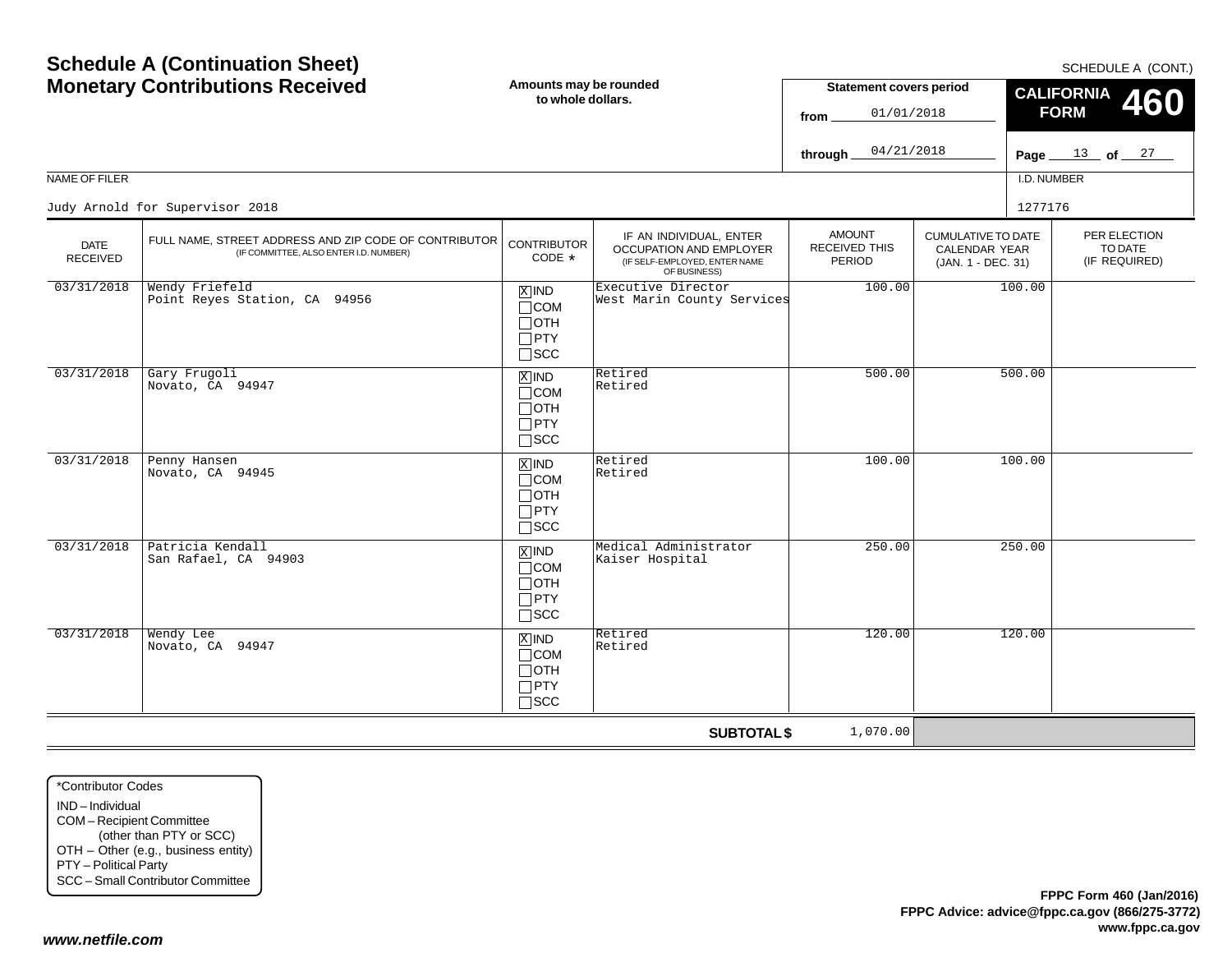| NAME OF FILER                  | <b>Schedule A (Continuation Sheet)</b><br><b>Monetary Contributions Received</b>                | Amounts may be rounded<br>to whole dollars.                                |                                                                                                     | <b>Statement covers period</b><br>01/01/2018<br>from<br>04/21/2018<br>through. |                                                                         | I.D. NUMBER | SCHEDULE A (CONT.)<br><b>CALIFORNIA</b><br>460<br><b>FORM</b><br>Page $13$ of $27$ |
|--------------------------------|-------------------------------------------------------------------------------------------------|----------------------------------------------------------------------------|-----------------------------------------------------------------------------------------------------|--------------------------------------------------------------------------------|-------------------------------------------------------------------------|-------------|------------------------------------------------------------------------------------|
|                                | Judy Arnold for Supervisor 2018                                                                 |                                                                            |                                                                                                     |                                                                                |                                                                         | 1277176     |                                                                                    |
| <b>DATE</b><br><b>RECEIVED</b> | FULL NAME, STREET ADDRESS AND ZIP CODE OF CONTRIBUTOR<br>(IF COMMITTEE, ALSO ENTER I.D. NUMBER) | <b>CONTRIBUTOR</b><br>CODE *                                               | IF AN INDIVIDUAL, ENTER<br>OCCUPATION AND EMPLOYER<br>(IF SELF-EMPLOYED, ENTER NAME<br>OF BUSINESS) | <b>AMOUNT</b><br><b>RECEIVED THIS</b><br>PERIOD                                | <b>CUMULATIVE TO DATE</b><br><b>CALENDAR YEAR</b><br>(JAN. 1 - DEC. 31) |             | PER ELECTION<br>TO DATE<br>(IF REQUIRED)                                           |
| 03/31/2018                     | Wendy Friefeld<br>Point Reyes Station, CA 94956                                                 | $X$ IND<br>$\Box$ COM<br>$\Box$ OTH<br>$\square$ PTY<br>$\square$ SCC      | Executive Director<br>West Marin County Services                                                    | 100.00                                                                         |                                                                         | 100.00      |                                                                                    |
| 03/31/2018                     | Gary Frugoli<br>Novato, CA 94947                                                                | $X$ IND<br>$\sqcap$ COM<br>$\Box$ OTH<br>$\Box$ PTY<br>$\square$ scc       | Retired<br>Retired                                                                                  | 500.00                                                                         |                                                                         | 500.00      |                                                                                    |
| 03/31/2018                     | Penny Hansen<br>Novato, CA 94945                                                                | $X$ IND<br>$\Box$ COM<br>∏отн<br>$\Box$ PTY<br>$\square$ SCC               | Retired<br>Retired                                                                                  | 100.00                                                                         |                                                                         | 100.00      |                                                                                    |
| 03/31/2018                     | Patricia Kendall<br>San Rafael, CA 94903                                                        | $\overline{X}$ IND<br>$\Box$ COM<br>$\Box$ oth<br>$\Box$ PTY<br>$\Box$ scc | Medical Administrator<br>Kaiser Hospital                                                            | 250.00                                                                         |                                                                         | 250.00      |                                                                                    |
| 03/31/2018                     | Wendy Lee<br>Novato, CA 94947                                                                   | $X$ IND<br>$\sqcap$ COM<br>$\sqcap$ OTH<br>$\Box$ PTY<br>$\Box$ scc        | Retired<br>Retired                                                                                  | 120.00                                                                         |                                                                         | 120.00      |                                                                                    |
|                                |                                                                                                 |                                                                            | <b>SUBTOTAL \$</b>                                                                                  | 1,070.00                                                                       |                                                                         |             |                                                                                    |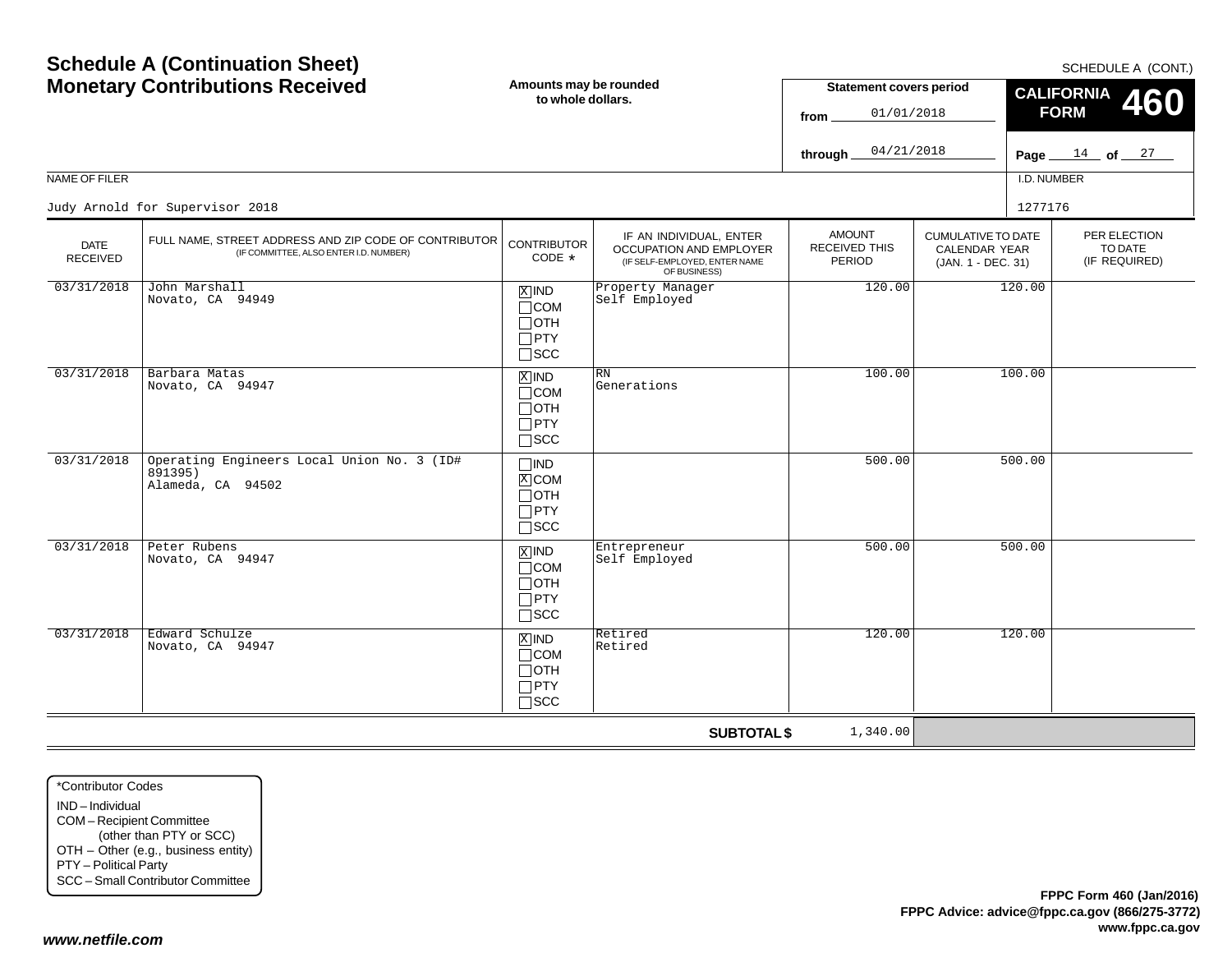| <b>Schedule A (Continuation Sheet)</b><br><b>Monetary Contributions Received</b> |                                                                                                 | Amounts may be rounded<br>to whole dollars.                                   |                                                                                                      | <b>Statement covers period</b><br>01/01/2018<br>from<br>04/21/2018<br>through |                                                                  | SCHEDULE A (CONT.)<br><b>CALIFORNIA</b><br>460<br><b>FORM</b><br>Page $14$ of $27$ |                                          |
|----------------------------------------------------------------------------------|-------------------------------------------------------------------------------------------------|-------------------------------------------------------------------------------|------------------------------------------------------------------------------------------------------|-------------------------------------------------------------------------------|------------------------------------------------------------------|------------------------------------------------------------------------------------|------------------------------------------|
| NAME OF FILER                                                                    |                                                                                                 |                                                                               |                                                                                                      |                                                                               |                                                                  | I.D. NUMBER                                                                        |                                          |
|                                                                                  | Judy Arnold for Supervisor 2018                                                                 |                                                                               |                                                                                                      |                                                                               |                                                                  | 1277176                                                                            |                                          |
| <b>DATE</b><br><b>RECEIVED</b>                                                   | FULL NAME, STREET ADDRESS AND ZIP CODE OF CONTRIBUTOR<br>(IF COMMITTEE, ALSO ENTER I.D. NUMBER) | <b>CONTRIBUTOR</b><br>CODE *                                                  | IF AN INDIVIDUAL, ENTER<br>OCCUPATION AND EMPLOYER<br>(IF SELF-EMPLOYED, ENTER NAME)<br>OF BUSINESS) | <b>AMOUNT</b><br><b>RECEIVED THIS</b><br>PERIOD                               | <b>CUMULATIVE TO DATE</b><br>CALENDAR YEAR<br>(JAN. 1 - DEC. 31) |                                                                                    | PER ELECTION<br>TO DATE<br>(IF REQUIRED) |
| 03/31/2018                                                                       | John Marshall<br>Novato, CA 94949                                                               | $X$ IND<br>$\Box$ COM<br>⊟отн<br>$\Box$ PTY<br>$\square$ SCC                  | Property Manager<br>Self Employed                                                                    | 120.00                                                                        |                                                                  | 120.00                                                                             |                                          |
| 03/31/2018                                                                       | Barbara Matas<br>Novato, CA 94947                                                               | $X$ IND<br>$\Box$ COM<br>$\Box$ oth<br>$\Box$ PTY<br>$\Box$ scc               | <b>RN</b><br>Generations                                                                             | 100.00                                                                        |                                                                  | 100.00                                                                             |                                          |
| 03/31/2018                                                                       | Operating Engineers Local Union No. 3 (ID#<br>891395)<br>Alameda, CA 94502                      | $\Box$ IND<br>$\mathbb{X}$ COM<br>$\Box$ oth<br>$\Box$ PTY<br>$\sqcap$ scc    |                                                                                                      | 500.00                                                                        |                                                                  | 500.00                                                                             |                                          |
| 03/31/2018                                                                       | Peter Rubens<br>Novato, CA 94947                                                                | $\overline{X}$ IND<br>$\Box$ COM<br>$\Box$ oth<br>$\Box$ PTY<br>$\square$ scc | Entrepreneur<br>Self Employed                                                                        | 500.00                                                                        |                                                                  | 500.00                                                                             |                                          |
| 03/31/2018                                                                       | Edward Schulze<br>Novato, CA 94947                                                              | $X$ IND<br>$\Box$ COM<br>$\sqcap$ OTH<br>$\Box$ PTY<br>$\sqcap$ scc           | Retired<br>Retired                                                                                   | 120.00                                                                        |                                                                  | 120.00                                                                             |                                          |
|                                                                                  |                                                                                                 |                                                                               | <b>SUBTOTAL \$</b>                                                                                   | 1,340.00                                                                      |                                                                  |                                                                                    |                                          |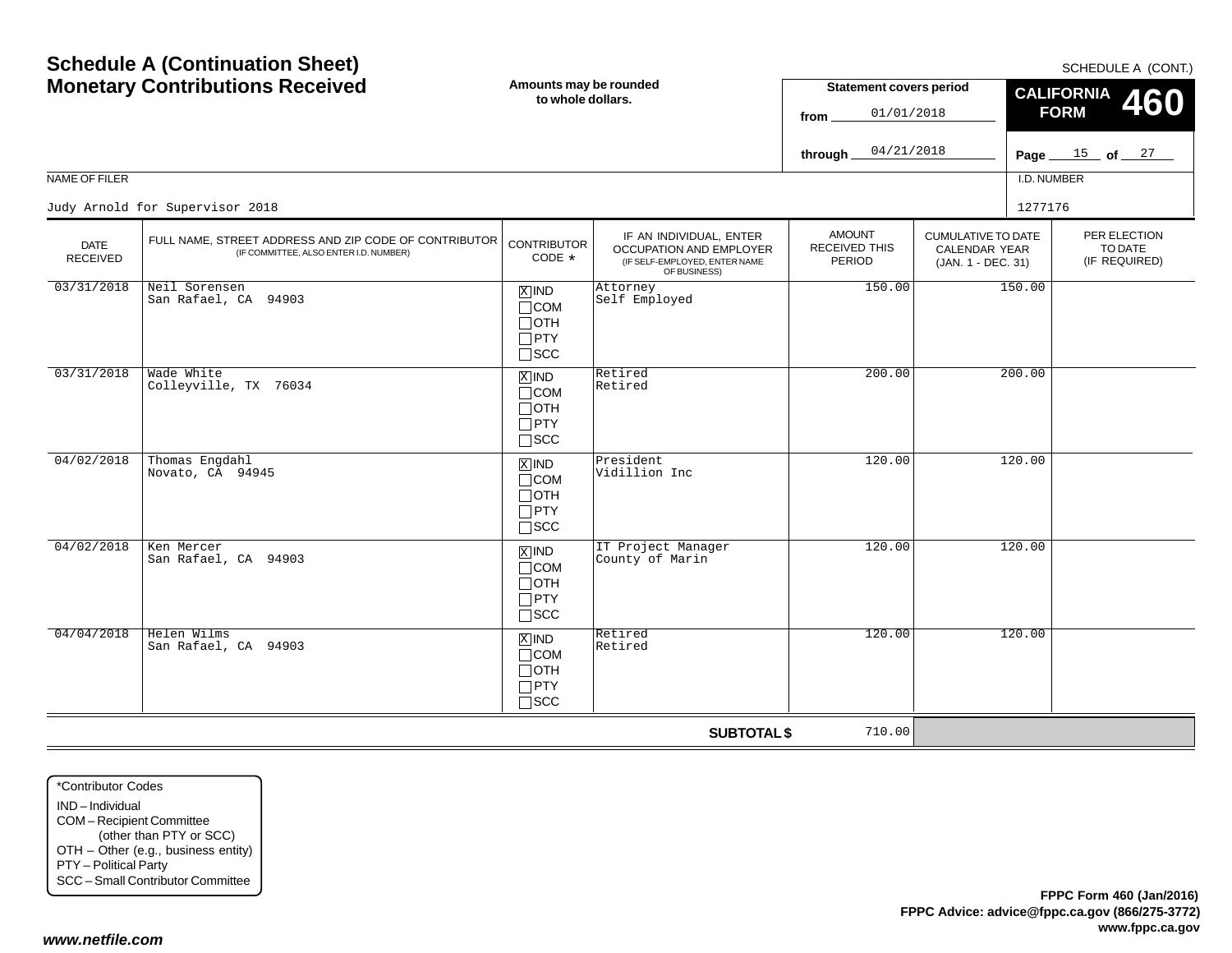|                                | <b>Monetary Contributions Received</b><br>Amounts may be rounded<br>to whole dollars.           |                                                                              |                                                                                                     | <b>Statement covers period</b><br>01/01/2018<br>from |                                                                  | <b>CALIFORNIA</b><br>460<br><b>FORM</b> |                                          |
|--------------------------------|-------------------------------------------------------------------------------------------------|------------------------------------------------------------------------------|-----------------------------------------------------------------------------------------------------|------------------------------------------------------|------------------------------------------------------------------|-----------------------------------------|------------------------------------------|
|                                |                                                                                                 |                                                                              |                                                                                                     | 04/21/2018<br>through                                |                                                                  |                                         | Page $15$ of $27$                        |
| NAME OF FILER                  |                                                                                                 |                                                                              |                                                                                                     |                                                      |                                                                  | I.D. NUMBER                             |                                          |
|                                | Judy Arnold for Supervisor 2018                                                                 |                                                                              |                                                                                                     |                                                      |                                                                  | 1277176                                 |                                          |
| <b>DATE</b><br><b>RECEIVED</b> | FULL NAME, STREET ADDRESS AND ZIP CODE OF CONTRIBUTOR<br>(IF COMMITTEE, ALSO ENTER I.D. NUMBER) | <b>CONTRIBUTOR</b><br>$CODE *$                                               | IF AN INDIVIDUAL, ENTER<br>OCCUPATION AND EMPLOYER<br>(IF SELF-EMPLOYED, ENTER NAME<br>OF BUSINESS) | <b>AMOUNT</b><br>RECEIVED THIS<br>PERIOD             | <b>CUMULATIVE TO DATE</b><br>CALENDAR YEAR<br>(JAN. 1 - DEC. 31) |                                         | PER ELECTION<br>TO DATE<br>(IF REQUIRED) |
| 03/31/2018                     | Neil Sorensen<br>San Rafael, CA 94903                                                           | $X$ IND<br>$\Box$ COM<br>$\Box$ OTH<br>$\square$ PTY<br>$\square$ SCC        | Attorney<br>Self Employed                                                                           | 150.00                                               |                                                                  | 150.00                                  |                                          |
| 03/31/2018                     | Wade White<br>Colleyville, TX 76034                                                             | $X$ IND<br>$\Box$ COM<br>$\Box$ oth<br>$\Box$ PTY<br>$\Box$ SCC              | Retired<br>Retired                                                                                  | 200.00                                               |                                                                  | 200.00                                  |                                          |
| 04/02/2018                     | Thomas Engdahl<br>Novato, CA 94945                                                              | $X$ IND<br>$\Box$ COM<br>$\sqcap$ OTH<br>$\Box$ PTY<br>$\square$ SCC         | President<br>Vidillion Inc                                                                          | 120.00                                               |                                                                  | 120.00                                  |                                          |
| 04/02/2018                     | Ken Mercer<br>San Rafael, CA 94903                                                              | $\overline{X}$ IND<br>$\sqcap$ COM<br>$\Box$ oth<br>$\Box$ PTY<br>$\Box$ SCC | IT Project Manager<br>County of Marin                                                               | 120.00                                               |                                                                  | 120.00                                  |                                          |
| 04/04/2018                     | Helen Wilms<br>San Rafael, CA 94903                                                             | $X$ IND<br>$\Box$ COM<br>$\Box$ OTH<br>$\Box$ PTY<br>$\sqcap$ SCC            | Retired<br>Retired                                                                                  | 120.00                                               |                                                                  | 120.00                                  |                                          |
|                                |                                                                                                 |                                                                              | <b>SUBTOTAL \$</b>                                                                                  | 710.00                                               |                                                                  |                                         |                                          |

\*Contributor CodesIND – Individual COM – Recipient Committee (other than PTY or SCC) OTH – Other (e.g., business entity) PTY – Political Party SCC – Small Contributor Committee

**Schedule A (Continuation Sheet)**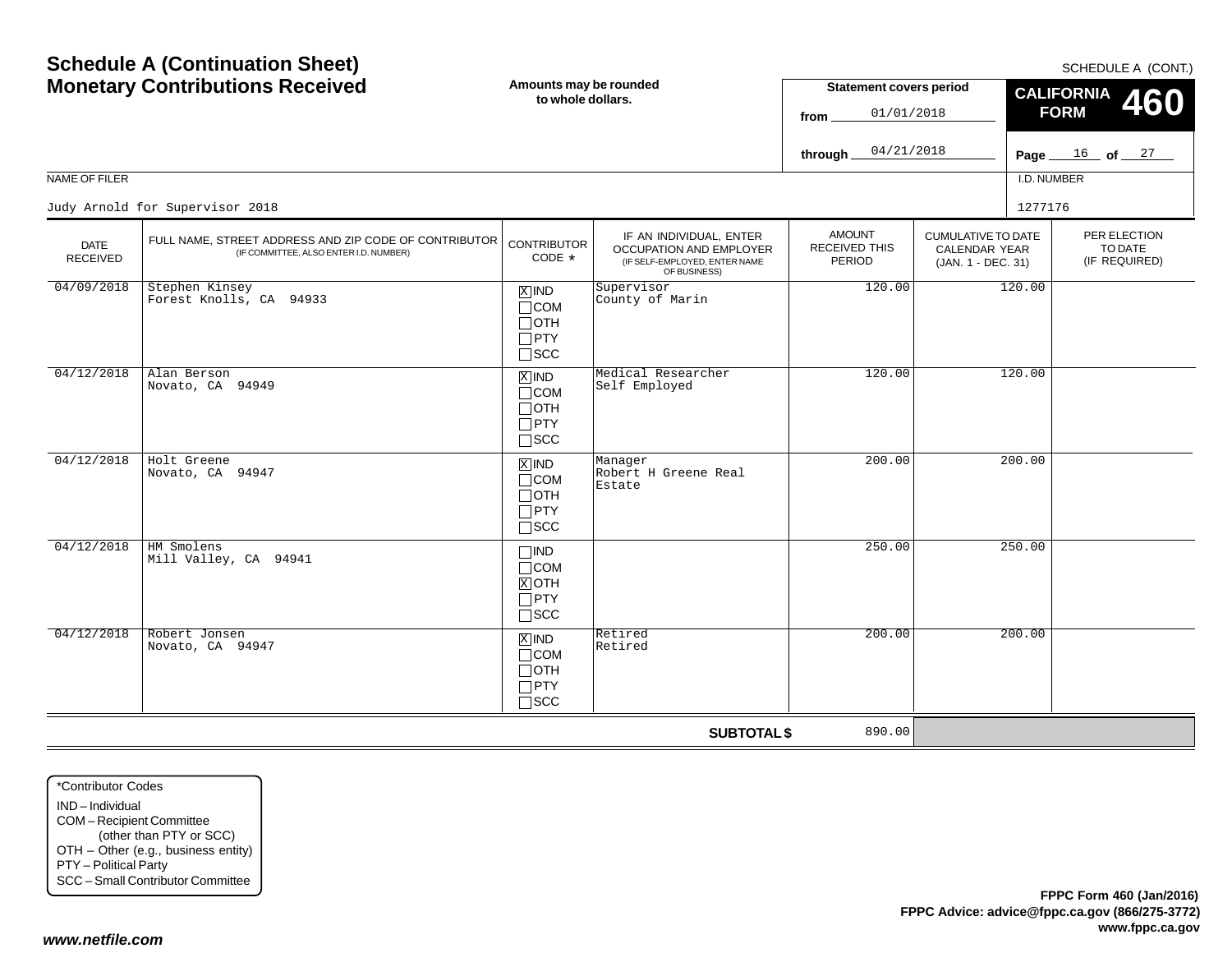| <b>Schedule A (Continuation Sheet)</b><br><b>Monetary Contributions Received</b> |                                                                                                 | Amounts may be rounded<br>to whole dollars.                        |                                                                                                     | <b>Statement covers period</b><br>01/01/2018<br>from<br>04/21/2018<br>through |                                                                         | SCHEDULE A (CONT.)<br><b>CALIFORNIA</b><br>460<br><b>FORM</b><br>Page $16$ of $27$ |                                          |
|----------------------------------------------------------------------------------|-------------------------------------------------------------------------------------------------|--------------------------------------------------------------------|-----------------------------------------------------------------------------------------------------|-------------------------------------------------------------------------------|-------------------------------------------------------------------------|------------------------------------------------------------------------------------|------------------------------------------|
| NAME OF FILER                                                                    |                                                                                                 |                                                                    |                                                                                                     |                                                                               |                                                                         | I.D. NUMBER                                                                        |                                          |
|                                                                                  | Judy Arnold for Supervisor 2018                                                                 |                                                                    |                                                                                                     |                                                                               |                                                                         | 1277176                                                                            |                                          |
| <b>DATE</b><br><b>RECEIVED</b>                                                   | FULL NAME, STREET ADDRESS AND ZIP CODE OF CONTRIBUTOR<br>(IF COMMITTEE, ALSO ENTER I.D. NUMBER) | <b>CONTRIBUTOR</b><br>CODE *                                       | IF AN INDIVIDUAL, ENTER<br>OCCUPATION AND EMPLOYER<br>(IF SELF-EMPLOYED, ENTER NAME<br>OF BUSINESS) | <b>AMOUNT</b><br><b>RECEIVED THIS</b><br>PERIOD                               | <b>CUMULATIVE TO DATE</b><br><b>CALENDAR YEAR</b><br>(JAN. 1 - DEC. 31) |                                                                                    | PER ELECTION<br>TO DATE<br>(IF REQUIRED) |
| 04/09/2018                                                                       | Stephen Kinsey<br>Forest Knolls, CA 94933                                                       | $X$ IND<br>$\Box$ COM<br>$\Box$ OTH<br>$\Box$ PTY<br>$\square$ SCC | Supervisor<br>County of Marin                                                                       | 120.00                                                                        |                                                                         | 120.00                                                                             |                                          |
| 04/12/2018                                                                       | Alan Berson<br>Novato, CA 94949                                                                 | $X$ IND<br>$\Box$ COM<br>$\sqcap$ OTH<br>$\Box$ PTY<br>$\Box$ scc  | Medical Researcher<br>Self Employed                                                                 | 120.00                                                                        |                                                                         | 120.00                                                                             |                                          |
| 04/12/2018                                                                       | Holt Greene<br>Novato, CA 94947                                                                 | $X$ IND<br>$\Box$ COM<br>⊟отн<br>$\Box$ PTY<br>$\square$ SCC       | Manager<br>Robert H Greene Real<br>Estate                                                           | 200.00                                                                        |                                                                         | 200.00                                                                             |                                          |
| 04/12/2018                                                                       | HM Smolens<br>Mill Valley, CA 94941                                                             | <b>TIND</b><br>$\Box$ COM<br>$X$ OTH<br>$\Box$ PTY<br>$\Box$ SCC   |                                                                                                     | 250.00                                                                        |                                                                         | 250.00                                                                             |                                          |
| 04/12/2018                                                                       | Robert Jonsen<br>Novato, CA 94947                                                               | $X$ IND<br>$\Box$ COM<br>$\Box$ OTH<br>$\Box$ PTY<br>$\Box$ scc    | Retired<br>Retired                                                                                  | 200.00                                                                        |                                                                         | 200.00                                                                             |                                          |
|                                                                                  |                                                                                                 |                                                                    | <b>SUBTOTAL \$</b>                                                                                  | 890.00                                                                        |                                                                         |                                                                                    |                                          |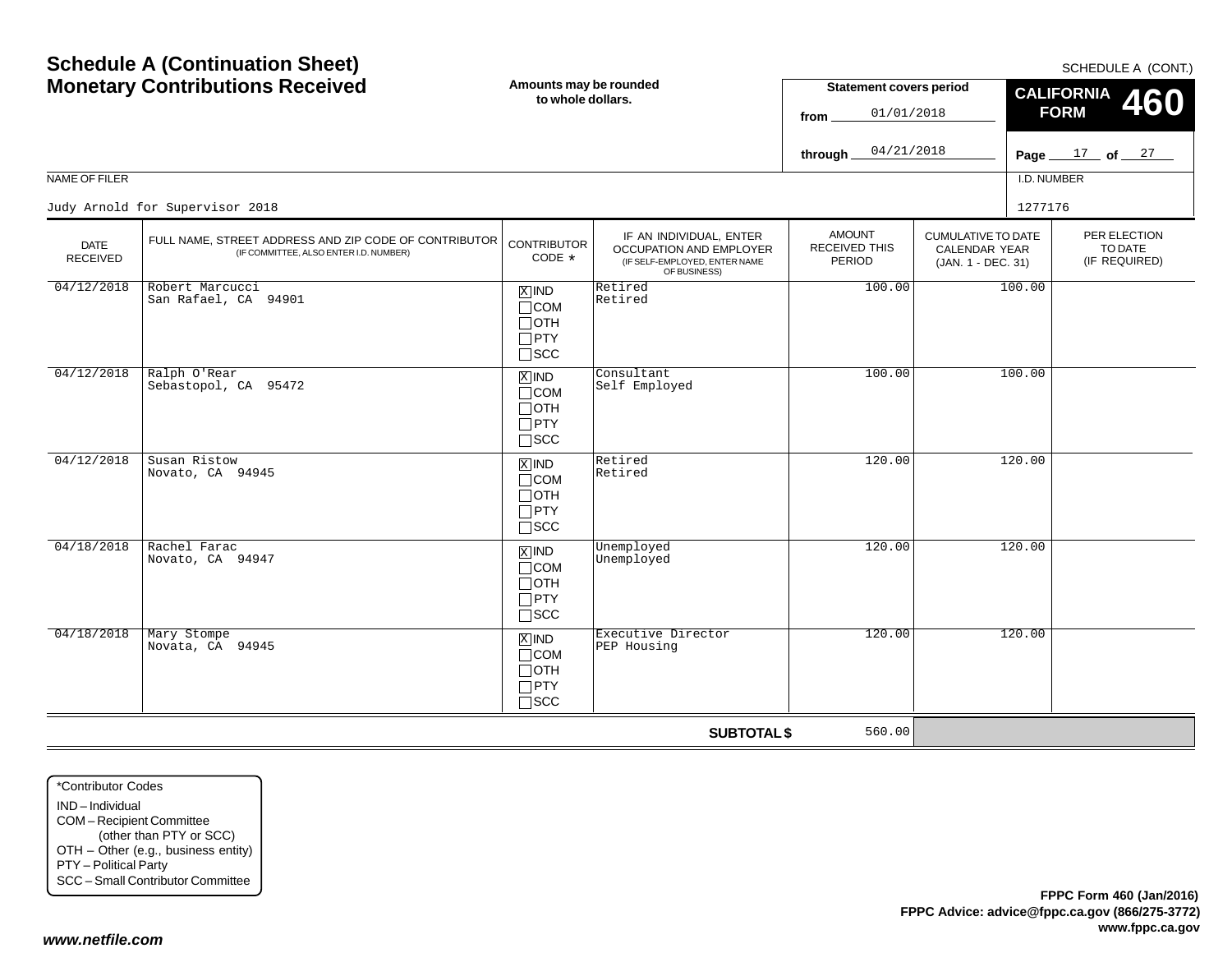**Amounts may be rounded Schedule A (Continuation Sheet) Monetary Contributions Received**

| <b>Monetary Contributions Received</b> |                                                                                                 | Amounts may be rounded<br>to whole dollars.                                      |                                                                                                     | <b>Statement covers period</b><br>01/01/2018<br>from   |                                                                  | CALIFORNIA 460<br><b>FORM</b> |                                          |
|----------------------------------------|-------------------------------------------------------------------------------------------------|----------------------------------------------------------------------------------|-----------------------------------------------------------------------------------------------------|--------------------------------------------------------|------------------------------------------------------------------|-------------------------------|------------------------------------------|
|                                        |                                                                                                 |                                                                                  |                                                                                                     | 04/21/2018<br>through.                                 |                                                                  |                               | Page $17$ of $27$                        |
| NAME OF FILER                          |                                                                                                 |                                                                                  |                                                                                                     |                                                        |                                                                  | I.D. NUMBER                   |                                          |
|                                        | Judy Arnold for Supervisor 2018                                                                 |                                                                                  |                                                                                                     |                                                        |                                                                  | 1277176                       |                                          |
| <b>DATE</b><br><b>RECEIVED</b>         | FULL NAME, STREET ADDRESS AND ZIP CODE OF CONTRIBUTOR<br>(IF COMMITTEE, ALSO ENTER I.D. NUMBER) | <b>CONTRIBUTOR</b><br>$CODE *$                                                   | IF AN INDIVIDUAL, ENTER<br>OCCUPATION AND EMPLOYER<br>(IF SELF-EMPLOYED, ENTER NAME<br>OF BUSINESS) | <b>AMOUNT</b><br><b>RECEIVED THIS</b><br><b>PERIOD</b> | <b>CUMULATIVE TO DATE</b><br>CALENDAR YEAR<br>(JAN. 1 - DEC. 31) |                               | PER ELECTION<br>TO DATE<br>(IF REQUIRED) |
| 04/12/2018                             | Robert Marcucci<br>San Rafael, CA 94901                                                         | $X$ IND<br>$\Box$ COM<br>$\Box$ OTH<br>$\Box$ PTY<br>$\square$ SCC               | Retired<br>Retired                                                                                  | 100.00                                                 |                                                                  | 100.00                        |                                          |
| 04/12/2018                             | Ralph O'Rear<br>Sebastopol, CA 95472                                                            | $\overline{X}$ IND<br>$\sqcap$ COM<br>$\sqcap$ OTH<br>$\Box$ PTY<br>$\Box$ SCC   | Consultant<br>Self Employed                                                                         | 100.00                                                 |                                                                  | 100.00                        |                                          |
| 04/12/2018                             | Susan Ristow<br>Novato, CA 94945                                                                | $X$ IND<br>$\sqcap$ COM<br>$\sqcap$ OTH<br>$\Box$ PTY<br>$\sqcap$ scc            | Retired<br>Retired                                                                                  | 120.00                                                 |                                                                  | 120.00                        |                                          |
| 04/18/2018                             | Rachel Farac<br>Novato, CA 94947                                                                | $\overline{X}$ IND<br>$\sqcap$ COM<br>$\sqcap$ OTH<br>$\Box$ PTY<br>$\sqcap$ scc | Unemployed<br>Unemployed                                                                            | 120.00                                                 |                                                                  | 120.00                        |                                          |
| 04/18/2018                             | Mary Stompe<br>Novata, CA 94945                                                                 | $X$ IND<br>$\Box$ COM<br>$\sqcap$ oth<br>$\Box$ PTY<br>$\sqcap$ scc              | Executive Director<br>PEP Housing                                                                   | 120.00                                                 |                                                                  | 120.00                        |                                          |
|                                        |                                                                                                 |                                                                                  | <b>SUBTOTAL \$</b>                                                                                  | 560.00                                                 |                                                                  |                               |                                          |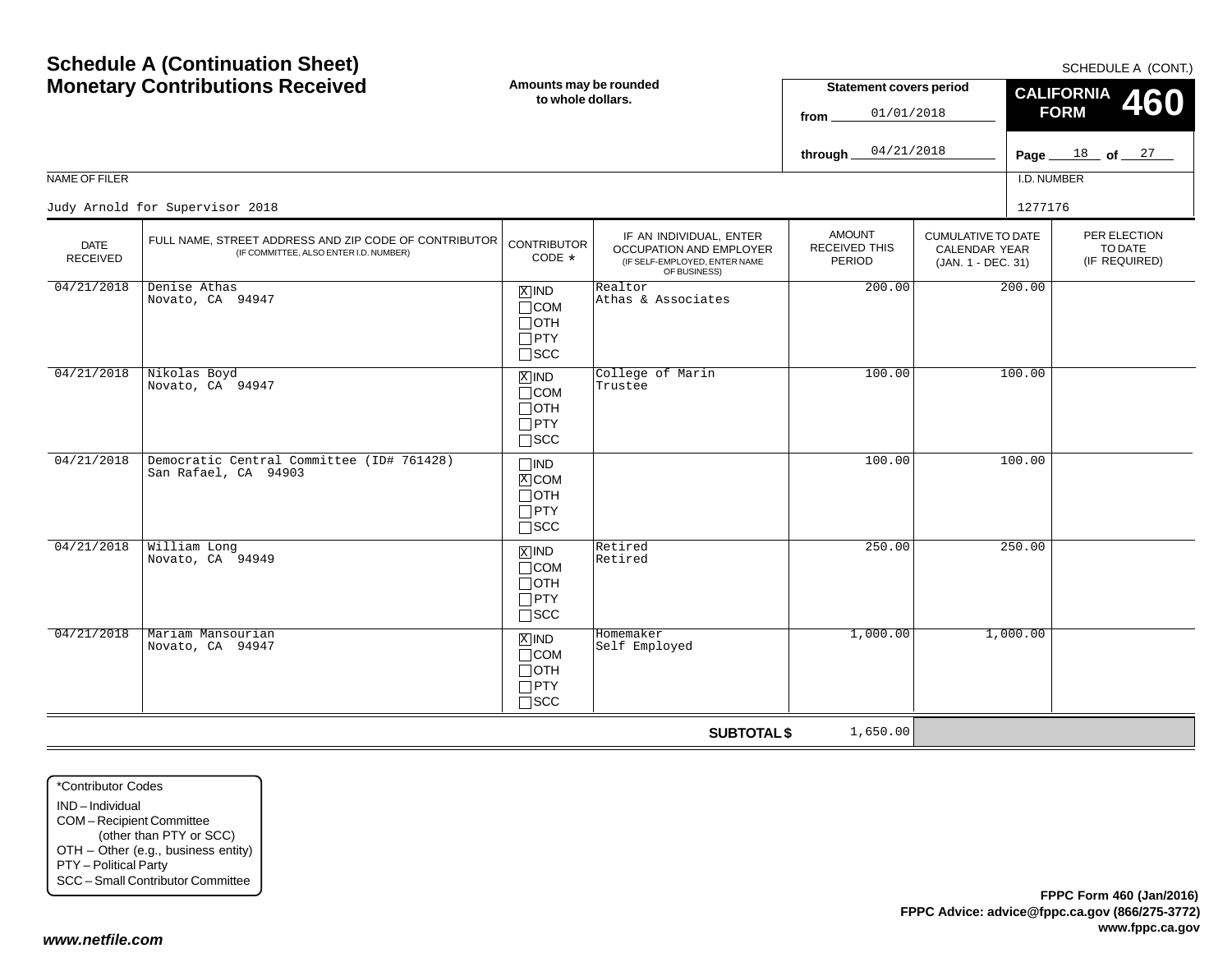| NAME OF FILER                  | <b>Schedule A (Continuation Sheet)</b><br><b>Monetary Contributions Received</b>                | Amounts may be rounded<br>to whole dollars.                                       |                                                                                                     | <b>Statement covers period</b><br>01/01/2018<br>from<br>04/21/2018<br>through |                                            | Page $\_\$<br>I.D. NUMBER | SCHEDULE A (CONT.)<br><b>CALIFORNIA</b><br>460<br><b>FORM</b><br>$18$ of $27$ |
|--------------------------------|-------------------------------------------------------------------------------------------------|-----------------------------------------------------------------------------------|-----------------------------------------------------------------------------------------------------|-------------------------------------------------------------------------------|--------------------------------------------|---------------------------|-------------------------------------------------------------------------------|
|                                | Judy Arnold for Supervisor 2018                                                                 |                                                                                   |                                                                                                     | <b>AMOUNT</b>                                                                 | <b>CUMULATIVE TO DATE</b>                  | 1277176                   | PER ELECTION                                                                  |
| <b>DATE</b><br><b>RECEIVED</b> | FULL NAME, STREET ADDRESS AND ZIP CODE OF CONTRIBUTOR<br>(IF COMMITTEE, ALSO ENTER I.D. NUMBER) | <b>CONTRIBUTOR</b><br>CODE *                                                      | IF AN INDIVIDUAL, ENTER<br>OCCUPATION AND EMPLOYER<br>(IF SELF-EMPLOYED, ENTER NAME<br>OF BUSINESS) | RECEIVED THIS<br>PERIOD                                                       | <b>CALENDAR YEAR</b><br>(JAN. 1 - DEC. 31) |                           | TO DATE<br>(IF REQUIRED)                                                      |
| 04/21/2018                     | Denise Athas<br>Novato, CA 94947                                                                | $\boxed{\text{X}}$ IND<br>$\Box$ COM<br>$\Box$ OTH<br>$\Box$ PTY<br>$\square$ SCC | Realtor<br>Athas & Associates                                                                       | 200.00                                                                        | 200.00<br>100.00                           |                           |                                                                               |
| 04/21/2018                     | Nikolas Boyd<br>Novato, CA 94947                                                                | $X$ IND<br>$\Box$ COM<br>$\Box$ OTH<br>$\Box$ PTY<br>$\Box$ SCC                   | College of Marin<br>Trustee                                                                         | 100.00                                                                        |                                            |                           |                                                                               |
| 04/21/2018                     | Democratic Central Committee (ID# 761428)<br>San Rafael, CA 94903                               | $\Box$ IND<br>$X$ COM<br>$\Box$ OTH<br>$\Box$ PTY<br>$\Box$ SCC                   |                                                                                                     | 100.00                                                                        |                                            | 100.00                    |                                                                               |
| 04/21/2018                     | William Long<br>Novato, CA 94949                                                                | $\boxed{\text{X}}$ IND<br>$\Box$ COM<br>$\Box$ OTH<br>$\Box$ PTY<br>$\square$ SCC | Retired<br>Retired                                                                                  | 250.00                                                                        |                                            | 250.00                    |                                                                               |
| 04/21/2018                     | Mariam Mansourian<br>Novato, CA 94947                                                           | $X$ IND<br>$\Box$ COM<br>$\Box$ OTH<br>$\Box$ PTY<br>$\Box$ SCC                   | Homemaker<br>Self Employed                                                                          | 1,000.00                                                                      |                                            | 1,000.00                  |                                                                               |
|                                |                                                                                                 |                                                                                   | <b>SUBTOTAL \$</b>                                                                                  | 1,650.00                                                                      |                                            |                           |                                                                               |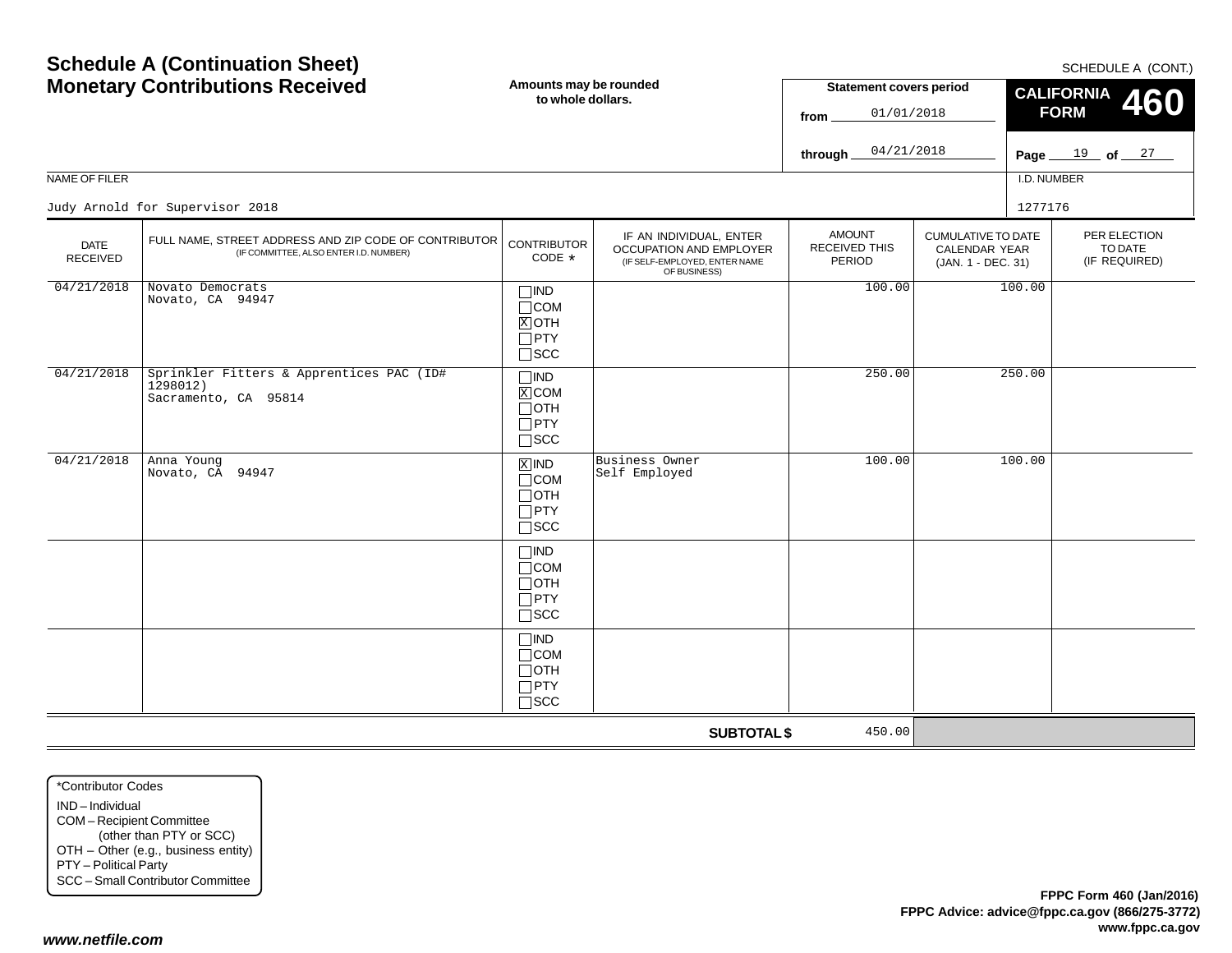| <b>Schedule A (Continuation Sheet)</b><br><b>Monetary Contributions Received</b> |                                                                                                 | Amounts may be rounded<br>to whole dollars.                            |                                                                                                     | <b>Statement covers period</b><br>01/01/2018<br>from |                                                                         | SCHEDULE A (CONT.)<br><b>CALIFORNIA</b><br>460<br><b>FORM</b> |                                          |
|----------------------------------------------------------------------------------|-------------------------------------------------------------------------------------------------|------------------------------------------------------------------------|-----------------------------------------------------------------------------------------------------|------------------------------------------------------|-------------------------------------------------------------------------|---------------------------------------------------------------|------------------------------------------|
|                                                                                  |                                                                                                 |                                                                        |                                                                                                     | 04/21/2018<br>through                                |                                                                         |                                                               | Page $19$ of $27$                        |
| NAME OF FILER                                                                    |                                                                                                 |                                                                        |                                                                                                     |                                                      |                                                                         | I.D. NUMBER                                                   |                                          |
|                                                                                  | Judy Arnold for Supervisor 2018                                                                 |                                                                        |                                                                                                     |                                                      |                                                                         | 1277176                                                       |                                          |
| <b>DATE</b><br><b>RECEIVED</b>                                                   | FULL NAME, STREET ADDRESS AND ZIP CODE OF CONTRIBUTOR<br>(IF COMMITTEE, ALSO ENTER I.D. NUMBER) | <b>CONTRIBUTOR</b><br>CODE *                                           | IF AN INDIVIDUAL, ENTER<br>OCCUPATION AND EMPLOYER<br>(IF SELF-EMPLOYED, ENTER NAME<br>OF BUSINESS) | <b>AMOUNT</b><br><b>RECEIVED THIS</b><br>PERIOD      | <b>CUMULATIVE TO DATE</b><br><b>CALENDAR YEAR</b><br>(JAN. 1 - DEC. 31) |                                                               | PER ELECTION<br>TO DATE<br>(IF REQUIRED) |
| 04/21/2018                                                                       | Novato Democrats<br>Novato, CA 94947                                                            | $\Box$ IND<br>$\Box$ COM<br>$X$ OTH<br>$\Box$ PTY<br>$\Box$<br><br>SCC |                                                                                                     | 100.00                                               |                                                                         | 100.00                                                        |                                          |
| 04/21/2018                                                                       | Sprinkler Fitters & Apprentices PAC (ID#<br>1298012)<br>Sacramento, CA 95814                    | $\Box$ IND<br>$X$ COM<br>$\Box$ OTH<br>$\Box$ PTY<br>$\square$ SCC     |                                                                                                     | 250.00                                               |                                                                         | 250.00                                                        |                                          |
| 04/21/2018                                                                       | Anna Young<br>Novato, CA 94947                                                                  | $X$ IND<br>$\Box$ COM<br>$\Box$ OTH<br>$\Box$ PTY<br>$\square$ SCC     | Business Owner<br>Self Employed                                                                     | 100.00                                               |                                                                         | 100.00                                                        |                                          |
|                                                                                  |                                                                                                 | $\Box$ IND<br>$\Box$ COM<br>$\Box$ OTH<br>$\Box$ PTY<br>$\square$ SCC  |                                                                                                     |                                                      |                                                                         |                                                               |                                          |
|                                                                                  |                                                                                                 | $\square$ IND<br>$\Box$ COM<br>$\Box$ OTH<br>$\Box$ PTY<br>$\Box$ scc  |                                                                                                     |                                                      |                                                                         |                                                               |                                          |
|                                                                                  |                                                                                                 |                                                                        | <b>SUBTOTAL \$</b>                                                                                  | 450.00                                               |                                                                         |                                                               |                                          |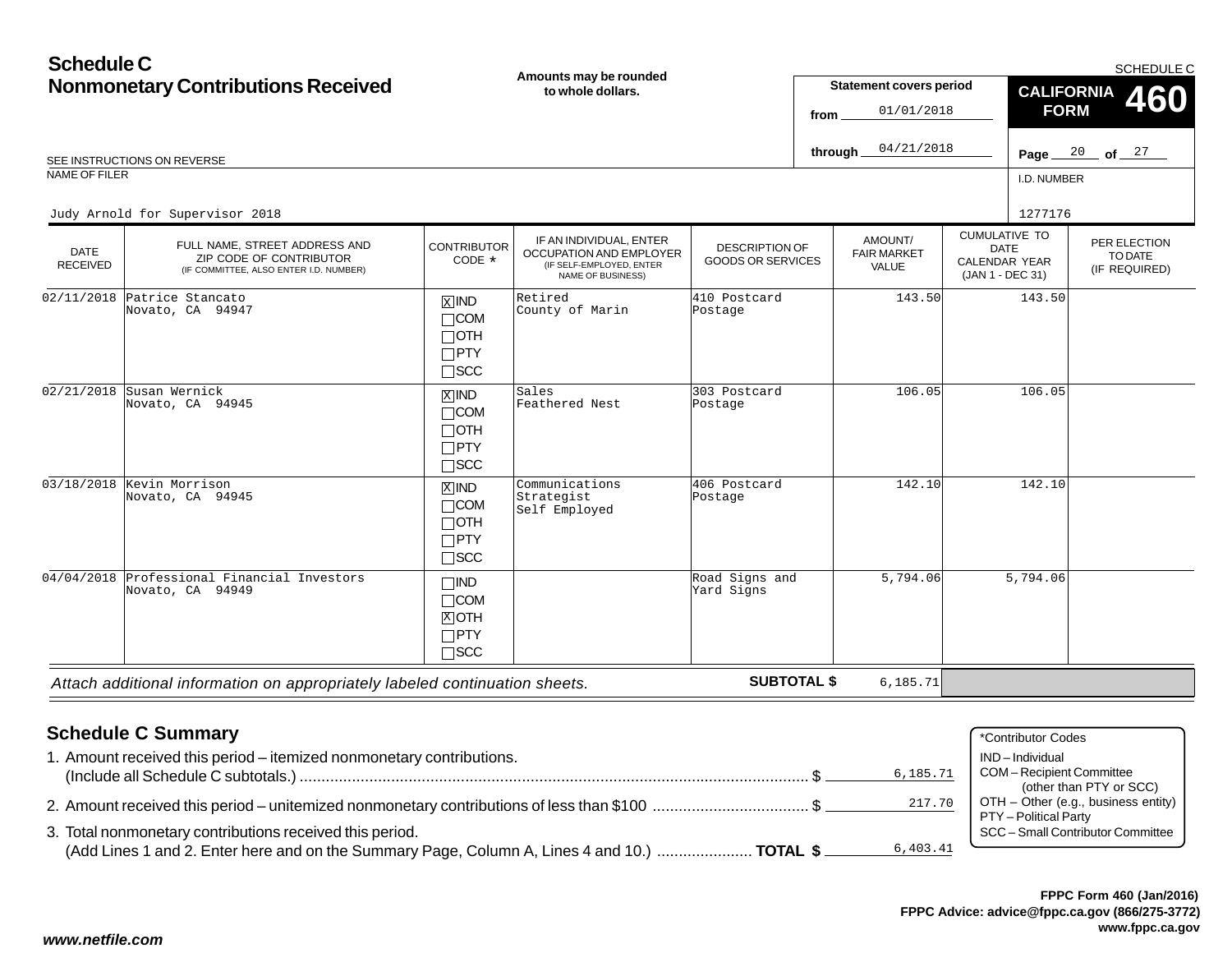#### **Schedule CNonmonetary Contributions Received** I.D. NUMBERCUMULATIVE TODATE CALENDAR YEAR (JAN 1 - DEC 31) AMOUNT/ FAIR MARKETVALUEPER ELECTIONTO DATE(IF REQUIRED) DATE RECEIVED**Amounts may be rounded to whole dollars.**DESCRIPTION OF GOODS OR SERVICESSCHEDULE CREE INSTRUCTIONS ON REVERSE **Page** 20 to the set of a set of a set of a set of a set of a set of a set of a set of a set of a set of a set of a set of a set of a set of a set of a set of a set of a set of a set of a set of NAME OF FILER**Statement covers period fromthrough** IF AN INDIVIDUAL, ENTER OCCUPATION AND EMPLOYER (IF SELF-EMPLOYED, ENTER NAME OF BUSINESS) FULL NAME, STREET ADDRESS AND ZIP CODE OF CONTRIBUTOR (IF COMMITTEE, ALSO ENTER I.D. NUMBER) **CONTRIBUTOR** CODE\* $\overline{\text{x}}$ ind  $\Box$ COM  $\Box$ OTH PTY SCC **CALIFORNIAFORM 460**  $\overline{\mathbb{X}}$ ind COM OTH  $\Box$ PTY  $\Box$ SCC  $\overline{\text{X}}$ ind  $\Box$ COM  $\Box$ OTH PTY SCC  $\Box$ IND  $\Box$ COM  $\overline{\text{X}}$ ioth  $\Box$ PTY  $\Box$ SCC  $\frac{20}{ }$  of  $\frac{27}{ }$ 01/01/201804/21/2018Judy Arnold for Supervisor 2018 <sup>1277176</sup> 02/11/2018 Patrice Stancato Novato, CA 94947 Retired County of Marinn 143.50 and 143.50 143.50 postage 143.50 143.50 m 02/21/2018 Susan Wernick Novato, CA 94945Sales<br>Feathered Nest 303 Postcard Postage 106.05 106.05 03/18/2018 Kevin Morrison Novato, CA 94945 Communications Strategist Self Employed406 PostcardPostage142.10 142.10 04/04/2018 Professional Financial Investors Novato, CA 94949Road Signs andYard Signs5,794.065,794.06

*Attach additional information on appropriately labeled continuation sheets.*

**SUBTOTAL \$**

6,185.71

# **Schedule C Summary**

| . Amount received this period - itemized nonmonetary contributions.                                      | IND-Individual                      |
|----------------------------------------------------------------------------------------------------------|-------------------------------------|
| 6,185.71                                                                                                 | COM - Recipient Committee           |
|                                                                                                          | (other than PTY or SCC)             |
| 217.70<br>2. Amount received this period – unitemized nonmonetary contributions of less than \$100 \$    | OTH – Other (e.g., business entity) |
|                                                                                                          | PTY – Political Party               |
| 3. Total nonmonetary contributions received this period.                                                 | SCC - Small Contributor Committee   |
| 6,403.41<br>(Add Lines 1 and 2. Enter here and on the Summary Page, Column A, Lines 4 and 10.)  TOTAL \$ |                                     |
|                                                                                                          |                                     |

\*Contributor Codes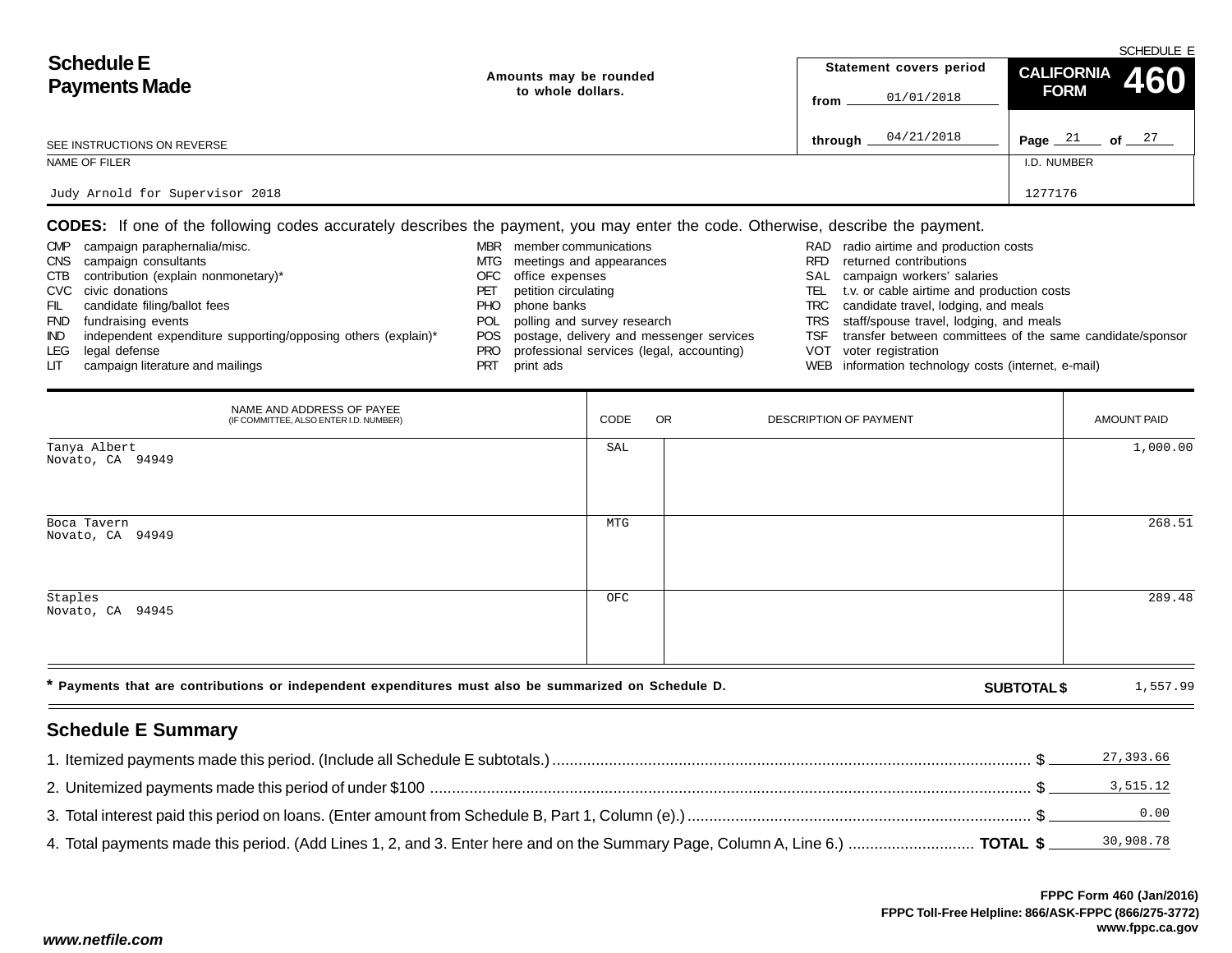| <b>Schedule E</b><br><b>Payments Made</b> | Amounts may be rounded |         | Statement covers period | SUMEDULE E<br>CALIFORNIA 460 |          |  |
|-------------------------------------------|------------------------|---------|-------------------------|------------------------------|----------|--|
|                                           | to whole dollars.      | from    | 01/01/2018              | <b>FORM</b>                  |          |  |
| SEE INSTRUCTIONS ON REVERSE               |                        | through | 04/21/2018              | -21<br>Page _                | 27<br>of |  |
| NAME OF FILER                             |                        |         |                         | I.D. NUMBER                  |          |  |
| Judy Arnold for Supervisor 2018           |                        |         |                         | 1277176                      |          |  |

**CODES:** If one of the following codes accurately describes the payment, you may enter the code. Otherwise, describe the payment.

| <b>CMP</b> | campaign paraphernalia/misc.                                  | <b>MBR</b> | member communications                         |       | RAD radio airtime and production costs                    |
|------------|---------------------------------------------------------------|------------|-----------------------------------------------|-------|-----------------------------------------------------------|
| <b>CNS</b> | campaign consultants                                          |            | MTG meetings and appearances                  | RFD   | returned contributions                                    |
| CTB        | contribution (explain nonmonetary)*                           |            | OFC office expenses                           |       | SAL campaign workers' salaries                            |
|            | CVC civic donations                                           | РEI        | petition circulating                          | TEL I | t.v. or cable airtime and production costs                |
| FIL        | candidate filing/ballot fees                                  | PHO.       | phone banks                                   |       | TRC candidate travel, lodging, and meals                  |
| <b>FND</b> | fundraising events                                            | POL.       | polling and survey research                   |       | TRS staff/spouse travel, lodging, and meals               |
| IND.       | independent expenditure supporting/opposing others (explain)* |            | POS postage, delivery and messenger services  | TSF   | transfer between committees of the same candidate/sponsor |
| LEG        | legal defense                                                 |            | PRO professional services (legal, accounting) |       | VOT voter registration                                    |
| LIT.       | campaign literature and mailings                              |            | print ads                                     |       | WEB information technology costs (internet, e-mail)       |

| NAME AND ADDRESS OF PAYEE<br>(IF COMMITTEE, ALSO ENTER I.D. NUMBER)                                  | CODE | <b>OR</b> | DESCRIPTION OF PAYMENT |                    | AMOUNT PAID |
|------------------------------------------------------------------------------------------------------|------|-----------|------------------------|--------------------|-------------|
| Tanya Albert<br>Novato, CA 94949                                                                     | SAL  |           |                        |                    | 1,000.00    |
| Boca Tavern<br>Novato, CA 94949                                                                      | MTG  |           |                        |                    | 268.51      |
| Staples<br>Novato, CA 94945                                                                          | OFC  |           |                        |                    | 289.48      |
| * Payments that are contributions or independent expenditures must also be summarized on Schedule D. |      |           |                        | <b>SUBTOTAL \$</b> | 1,557.99    |

# **Schedule E Summary**

| 27, 393.66 |
|------------|
|            |
|            |
|            |

SCHEDULE E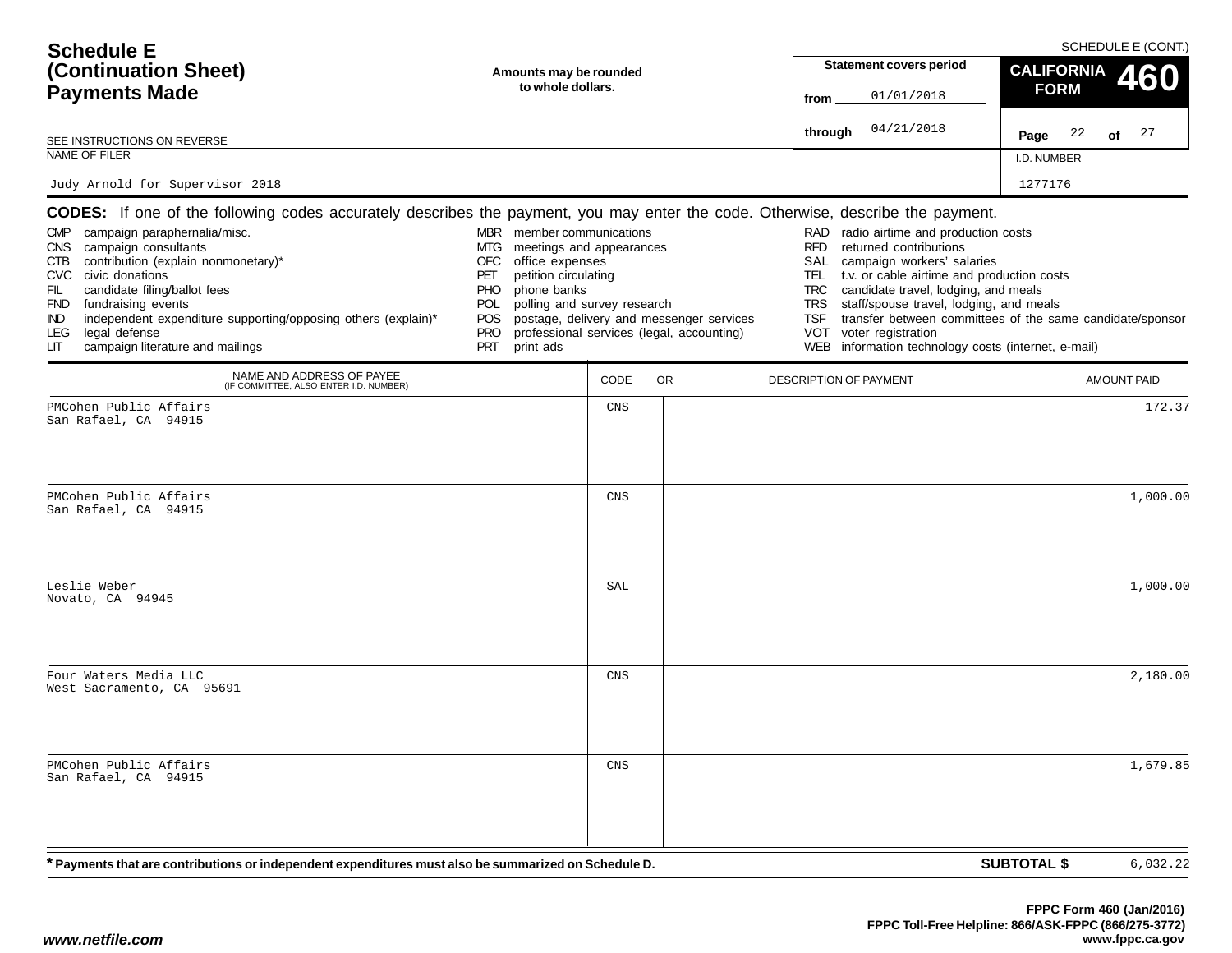| <b>Schedule E</b><br>(Continuation Sheet)<br><b>Payments Made</b>                                                                                                                                                                                                                                                                                                                                                                                                                      | Amounts may be rounded<br>to whole dollars.                                                                                                                                                                                               | <b>Statement covers period</b><br>01/01/2018<br>from | SCHEDULE E (CONT.)<br><b>CALIFORNIA</b><br>460<br><b>FORM</b>                         |                                                                                                                                                                                                                                                                                                                                                                                |                                                           |
|----------------------------------------------------------------------------------------------------------------------------------------------------------------------------------------------------------------------------------------------------------------------------------------------------------------------------------------------------------------------------------------------------------------------------------------------------------------------------------------|-------------------------------------------------------------------------------------------------------------------------------------------------------------------------------------------------------------------------------------------|------------------------------------------------------|---------------------------------------------------------------------------------------|--------------------------------------------------------------------------------------------------------------------------------------------------------------------------------------------------------------------------------------------------------------------------------------------------------------------------------------------------------------------------------|-----------------------------------------------------------|
| SEE INSTRUCTIONS ON REVERSE                                                                                                                                                                                                                                                                                                                                                                                                                                                            |                                                                                                                                                                                                                                           |                                                      |                                                                                       | 04/21/2018<br>through $\_$                                                                                                                                                                                                                                                                                                                                                     | Page $22$ of $27$                                         |
| NAME OF FILER                                                                                                                                                                                                                                                                                                                                                                                                                                                                          |                                                                                                                                                                                                                                           |                                                      |                                                                                       |                                                                                                                                                                                                                                                                                                                                                                                | I.D. NUMBER                                               |
| Judy Arnold for Supervisor 2018                                                                                                                                                                                                                                                                                                                                                                                                                                                        |                                                                                                                                                                                                                                           |                                                      |                                                                                       |                                                                                                                                                                                                                                                                                                                                                                                | 1277176                                                   |
| <b>CODES:</b> If one of the following codes accurately describes the payment, you may enter the code. Otherwise, describe the payment.<br>CMP campaign paraphernalia/misc.<br>CNS campaign consultants<br>CTB contribution (explain nonmonetary)*<br>CVC civic donations<br>candidate filing/ballot fees<br>FIL<br>FND fundraising events<br>independent expenditure supporting/opposing others (explain)*<br>IND.<br>legal defense<br>LEG.<br>campaign literature and mailings<br>LIТ | MBR member communications<br>meetings and appearances<br>MTG<br>office expenses<br>OFC<br>petition circulating<br>PET<br>phone banks<br><b>PHO</b><br>polling and survey research<br><b>POL</b><br>POS.<br><b>PRO</b><br>PRT<br>print ads |                                                      | postage, delivery and messenger services<br>professional services (legal, accounting) | radio airtime and production costs<br>RAD<br><b>RFD</b><br>returned contributions<br>SAL<br>campaign workers' salaries<br>TEL<br>t.v. or cable airtime and production costs<br>candidate travel, lodging, and meals<br>TRC<br>staff/spouse travel, lodging, and meals<br>TRS<br><b>TSF</b><br>voter registration<br>VOT<br>WEB information technology costs (internet, e-mail) | transfer between committees of the same candidate/sponsor |
| NAME AND ADDRESS OF PAYEE<br>(IF COMMITTEE, ALSO ENTER I.D. NUMBER)                                                                                                                                                                                                                                                                                                                                                                                                                    |                                                                                                                                                                                                                                           | CODE                                                 | <b>OR</b>                                                                             | DESCRIPTION OF PAYMENT                                                                                                                                                                                                                                                                                                                                                         | AMOUNT PAID                                               |
| PMCohen Public Affairs<br>San Rafael, CA 94915                                                                                                                                                                                                                                                                                                                                                                                                                                         |                                                                                                                                                                                                                                           | CNS                                                  |                                                                                       |                                                                                                                                                                                                                                                                                                                                                                                | 172.37                                                    |
| PMCohen Public Affairs<br>San Rafael, CA 94915                                                                                                                                                                                                                                                                                                                                                                                                                                         |                                                                                                                                                                                                                                           | <b>CNS</b>                                           |                                                                                       |                                                                                                                                                                                                                                                                                                                                                                                | 1,000.00                                                  |
| Leslie Weber<br>Novato, CA 94945                                                                                                                                                                                                                                                                                                                                                                                                                                                       |                                                                                                                                                                                                                                           | SAL                                                  |                                                                                       |                                                                                                                                                                                                                                                                                                                                                                                | 1,000.00                                                  |
| Four Waters Media LLC<br>West Sacramento, CA 95691                                                                                                                                                                                                                                                                                                                                                                                                                                     |                                                                                                                                                                                                                                           | <b>CNS</b>                                           |                                                                                       |                                                                                                                                                                                                                                                                                                                                                                                | 2,180.00                                                  |
| PMCohen Public Affairs<br>San Rafael, CA 94915                                                                                                                                                                                                                                                                                                                                                                                                                                         |                                                                                                                                                                                                                                           | CNS                                                  |                                                                                       |                                                                                                                                                                                                                                                                                                                                                                                | 1,679.85                                                  |
| * Payments that are contributions or independent expenditures must also be summarized on Schedule D.                                                                                                                                                                                                                                                                                                                                                                                   |                                                                                                                                                                                                                                           |                                                      |                                                                                       |                                                                                                                                                                                                                                                                                                                                                                                | <b>SUBTOTAL \$</b><br>6,032.22                            |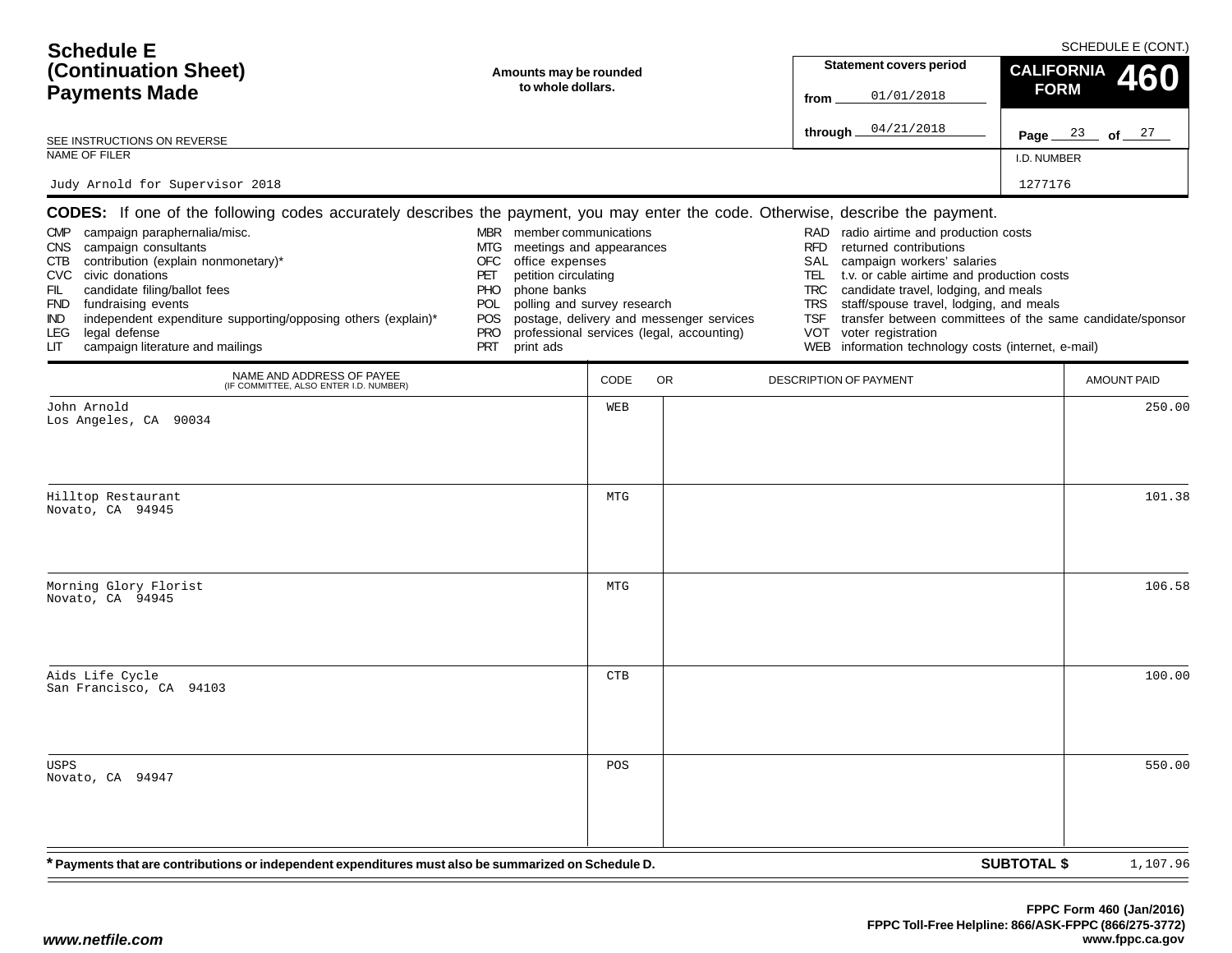| <b>Schedule E</b><br>(Continuation Sheet)<br><b>Payments Made</b><br>SEE INSTRUCTIONS ON REVERSE<br>NAME OF FILER<br>Judy Arnold for Supervisor 2018                                                                                                                                                                                                                                                                                                                                         | Amounts may be rounded<br>to whole dollars.                                                                                                                                                                                               |                   | <b>Statement covers period</b><br>01/01/2018<br>from<br>04/21/2018<br>through_        | <b>CALIFORNIA</b><br><b>FORM</b><br>I.D. NUMBER<br>1277176                                                                                                                                                                                                                                                                                                                                                                                   | SCHEDULE E (CONT.)<br>460<br>Page $23$ of $27$ |                    |
|----------------------------------------------------------------------------------------------------------------------------------------------------------------------------------------------------------------------------------------------------------------------------------------------------------------------------------------------------------------------------------------------------------------------------------------------------------------------------------------------|-------------------------------------------------------------------------------------------------------------------------------------------------------------------------------------------------------------------------------------------|-------------------|---------------------------------------------------------------------------------------|----------------------------------------------------------------------------------------------------------------------------------------------------------------------------------------------------------------------------------------------------------------------------------------------------------------------------------------------------------------------------------------------------------------------------------------------|------------------------------------------------|--------------------|
| CODES: If one of the following codes accurately describes the payment, you may enter the code. Otherwise, describe the payment.<br>campaign paraphernalia/misc.<br><b>CMP</b><br>CNS campaign consultants<br>contribution (explain nonmonetary)*<br>CTB<br>CVC civic donations<br>FIL<br>candidate filing/ballot fees<br>FND fundraising events<br>independent expenditure supporting/opposing others (explain)*<br>IND.<br>legal defense<br>LEG.<br>campaign literature and mailings<br>LIТ | MBR member communications<br>meetings and appearances<br>MTG<br><b>OFC</b><br>office expenses<br>petition circulating<br>PET<br>PHO.<br>phone banks<br>polling and survey research<br>POL<br>POS<br><b>PRO</b><br><b>PRT</b><br>print ads |                   | postage, delivery and messenger services<br>professional services (legal, accounting) | radio airtime and production costs<br>RAD<br><b>RFD</b><br>returned contributions<br>SAL<br>campaign workers' salaries<br>t.v. or cable airtime and production costs<br>TEL.<br>candidate travel, lodging, and meals<br>TRC<br>staff/spouse travel, lodging, and meals<br>TRS<br><b>TSF</b><br>transfer between committees of the same candidate/sponsor<br>voter registration<br>VOT<br>WEB information technology costs (internet, e-mail) |                                                |                    |
| NAME AND ADDRESS OF PAYEE<br>(IF COMMITTEE, ALSO ENTER I.D. NUMBER)                                                                                                                                                                                                                                                                                                                                                                                                                          |                                                                                                                                                                                                                                           | CODE              | OR.                                                                                   | <b>DESCRIPTION OF PAYMENT</b>                                                                                                                                                                                                                                                                                                                                                                                                                |                                                | <b>AMOUNT PAID</b> |
| John Arnold<br>Los Angeles, CA 90034<br>Hilltop Restaurant<br>Novato, CA 94945                                                                                                                                                                                                                                                                                                                                                                                                               |                                                                                                                                                                                                                                           | WEB<br><b>MTG</b> |                                                                                       |                                                                                                                                                                                                                                                                                                                                                                                                                                              |                                                | 250.00<br>101.38   |
| Morning Glory Florist<br>Novato, CA 94945                                                                                                                                                                                                                                                                                                                                                                                                                                                    |                                                                                                                                                                                                                                           | MTG               |                                                                                       |                                                                                                                                                                                                                                                                                                                                                                                                                                              |                                                | 106.58             |
| Aids Life Cycle<br>San Francisco, CA 94103                                                                                                                                                                                                                                                                                                                                                                                                                                                   |                                                                                                                                                                                                                                           | <b>CTB</b>        |                                                                                       |                                                                                                                                                                                                                                                                                                                                                                                                                                              |                                                | 100.00             |
| USPS<br>Novato, CA 94947                                                                                                                                                                                                                                                                                                                                                                                                                                                                     |                                                                                                                                                                                                                                           | POS               |                                                                                       |                                                                                                                                                                                                                                                                                                                                                                                                                                              |                                                | 550.00             |
| * Payments that are contributions or independent expenditures must also be summarized on Schedule D.                                                                                                                                                                                                                                                                                                                                                                                         |                                                                                                                                                                                                                                           |                   |                                                                                       |                                                                                                                                                                                                                                                                                                                                                                                                                                              | <b>SUBTOTAL \$</b>                             | 1,107.96           |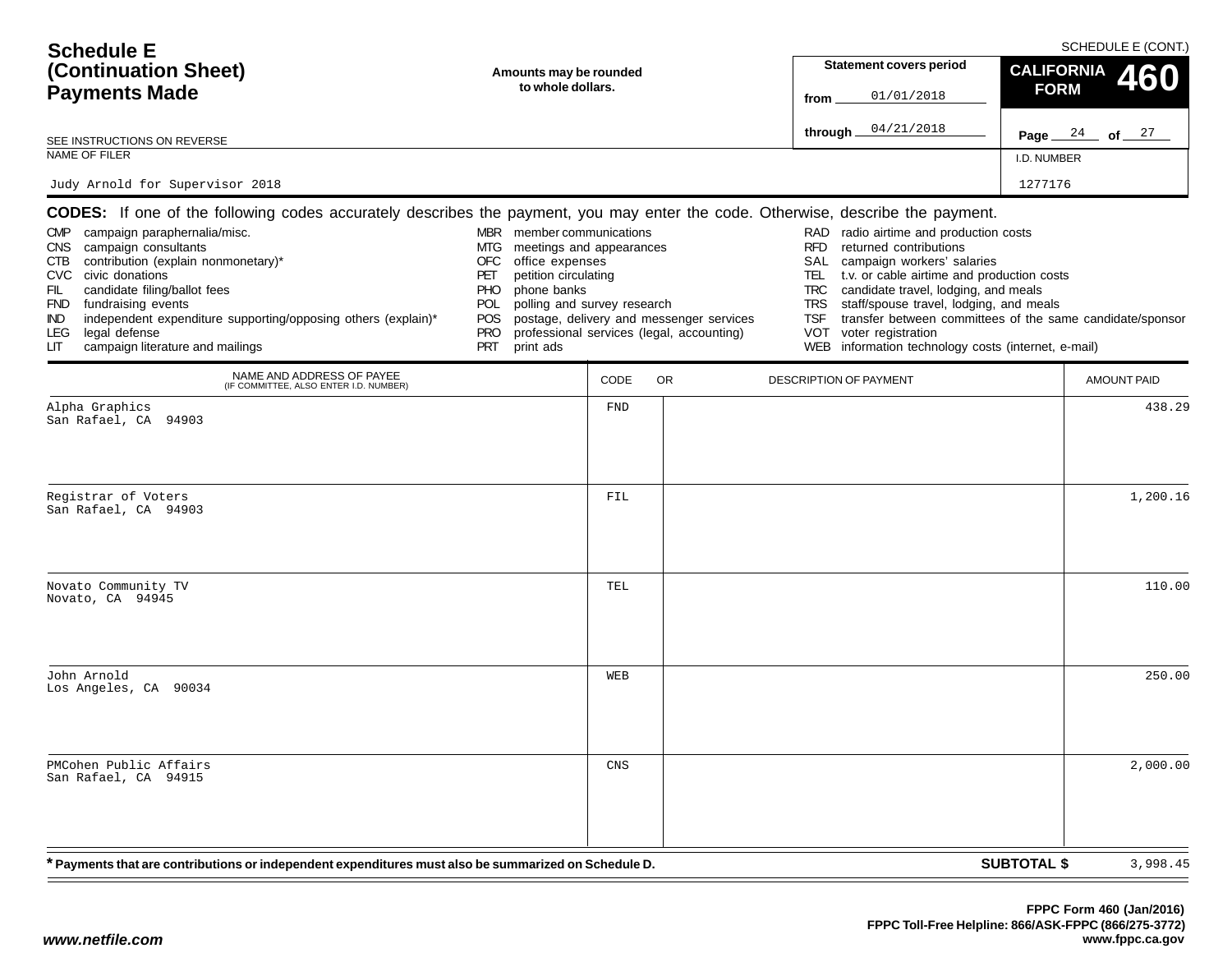| <b>Schedule E</b><br>(Continuation Sheet)<br><b>Payments Made</b><br>SEE INSTRUCTIONS ON REVERSE<br>NAME OF FILER<br>Judy Arnold for Supervisor 2018                                                                                                                                                                                                                                                                                                                                         | Amounts may be rounded<br>to whole dollars.                                                                                                                                                                                                     |                    | <b>Statement covers period</b><br>01/01/2018<br>from<br>04/21/2018<br>through_        | <b>CALIFORNIA</b><br><b>FORM</b><br>I.D. NUMBER<br>1277176                                                                                                                                                                                                                                                                                                                                                                                          | SCHEDULE E (CONT.)<br>460<br>Page $24$ of $27$ |                    |
|----------------------------------------------------------------------------------------------------------------------------------------------------------------------------------------------------------------------------------------------------------------------------------------------------------------------------------------------------------------------------------------------------------------------------------------------------------------------------------------------|-------------------------------------------------------------------------------------------------------------------------------------------------------------------------------------------------------------------------------------------------|--------------------|---------------------------------------------------------------------------------------|-----------------------------------------------------------------------------------------------------------------------------------------------------------------------------------------------------------------------------------------------------------------------------------------------------------------------------------------------------------------------------------------------------------------------------------------------------|------------------------------------------------|--------------------|
| CODES: If one of the following codes accurately describes the payment, you may enter the code. Otherwise, describe the payment.<br>campaign paraphernalia/misc.<br><b>CMP</b><br>CNS campaign consultants<br>contribution (explain nonmonetary)*<br>CTB<br>CVC civic donations<br>FIL<br>candidate filing/ballot fees<br>FND fundraising events<br>independent expenditure supporting/opposing others (explain)*<br>IND.<br>legal defense<br>LEG.<br>campaign literature and mailings<br>LIТ | MBR member communications<br>meetings and appearances<br>MTG<br><b>OFC</b><br>office expenses<br>petition circulating<br>PET<br><b>PHO</b><br>phone banks<br>polling and survey research<br>POL<br>POS<br><b>PRO</b><br><b>PRT</b><br>print ads |                    | postage, delivery and messenger services<br>professional services (legal, accounting) | radio airtime and production costs<br>RAD<br><b>RFD</b><br>returned contributions<br>SAL<br>campaign workers' salaries<br>t.v. or cable airtime and production costs<br>TEL.<br>candidate travel, lodging, and meals<br>TRC<br>staff/spouse travel, lodging, and meals<br><b>TRS</b><br><b>TSF</b><br>transfer between committees of the same candidate/sponsor<br>voter registration<br>VOT<br>WEB information technology costs (internet, e-mail) |                                                |                    |
| NAME AND ADDRESS OF PAYEE<br>(IF COMMITTEE, ALSO ENTER I.D. NUMBER)                                                                                                                                                                                                                                                                                                                                                                                                                          |                                                                                                                                                                                                                                                 | CODE               | OR.                                                                                   | <b>DESCRIPTION OF PAYMENT</b>                                                                                                                                                                                                                                                                                                                                                                                                                       |                                                | <b>AMOUNT PAID</b> |
| Alpha Graphics<br>San Rafael, CA 94903<br>Registrar of Voters<br>San Rafael, CA 94903                                                                                                                                                                                                                                                                                                                                                                                                        |                                                                                                                                                                                                                                                 | <b>FND</b><br>FIL  |                                                                                       |                                                                                                                                                                                                                                                                                                                                                                                                                                                     |                                                | 438.29<br>1,200.16 |
| Novato Community TV<br>Novato, CA 94945                                                                                                                                                                                                                                                                                                                                                                                                                                                      |                                                                                                                                                                                                                                                 | TEL                |                                                                                       |                                                                                                                                                                                                                                                                                                                                                                                                                                                     |                                                | 110.00             |
| John Arnold<br>Los Angeles, CA 90034                                                                                                                                                                                                                                                                                                                                                                                                                                                         |                                                                                                                                                                                                                                                 | WEB                |                                                                                       |                                                                                                                                                                                                                                                                                                                                                                                                                                                     |                                                | 250.00             |
| PMCohen Public Affairs<br>San Rafael, CA 94915                                                                                                                                                                                                                                                                                                                                                                                                                                               |                                                                                                                                                                                                                                                 | $\mathop{\rm CNS}$ |                                                                                       |                                                                                                                                                                                                                                                                                                                                                                                                                                                     |                                                | 2,000.00           |
| Payments that are contributions or independent expenditures must also be summarized on Schedule D. *                                                                                                                                                                                                                                                                                                                                                                                         |                                                                                                                                                                                                                                                 |                    |                                                                                       |                                                                                                                                                                                                                                                                                                                                                                                                                                                     | <b>SUBTOTAL \$</b>                             | 3,998.45           |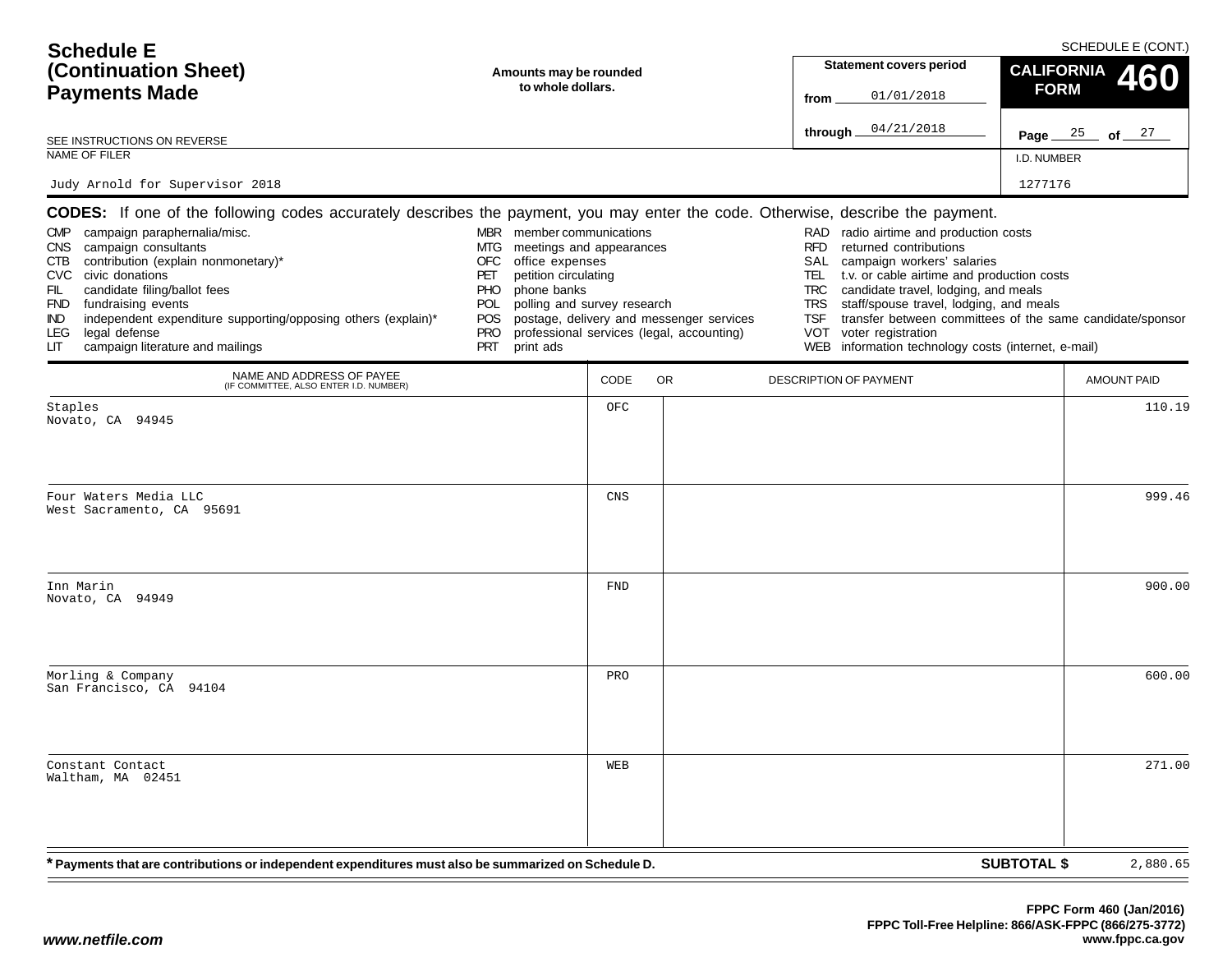| <b>Schedule E</b>                                                                                                                                                                                                                                                                                                                                                                                                                                                                                       |                                                                                                                                                                                                                                                  |            |                                                                                       |                                                                                         | SCHEDULE E (CONT.)                                                                                                                                                                                                                                                                                                                                                    |                    |                    |  |
|---------------------------------------------------------------------------------------------------------------------------------------------------------------------------------------------------------------------------------------------------------------------------------------------------------------------------------------------------------------------------------------------------------------------------------------------------------------------------------------------------------|--------------------------------------------------------------------------------------------------------------------------------------------------------------------------------------------------------------------------------------------------|------------|---------------------------------------------------------------------------------------|-----------------------------------------------------------------------------------------|-----------------------------------------------------------------------------------------------------------------------------------------------------------------------------------------------------------------------------------------------------------------------------------------------------------------------------------------------------------------------|--------------------|--------------------|--|
| (Continuation Sheet)                                                                                                                                                                                                                                                                                                                                                                                                                                                                                    | Amounts may be rounded                                                                                                                                                                                                                           |            |                                                                                       |                                                                                         | <b>Statement covers period</b>                                                                                                                                                                                                                                                                                                                                        | <b>CALIFORNIA</b>  | 460                |  |
| <b>Payments Made</b>                                                                                                                                                                                                                                                                                                                                                                                                                                                                                    | to whole dollars.                                                                                                                                                                                                                                |            | from                                                                                  | 01/01/2018                                                                              | <b>FORM</b>                                                                                                                                                                                                                                                                                                                                                           |                    |                    |  |
| SEE INSTRUCTIONS ON REVERSE                                                                                                                                                                                                                                                                                                                                                                                                                                                                             |                                                                                                                                                                                                                                                  |            |                                                                                       | through                                                                                 | 04/21/2018                                                                                                                                                                                                                                                                                                                                                            |                    | Page $25$ of $27$  |  |
| NAME OF FILER                                                                                                                                                                                                                                                                                                                                                                                                                                                                                           |                                                                                                                                                                                                                                                  |            |                                                                                       |                                                                                         |                                                                                                                                                                                                                                                                                                                                                                       | I.D. NUMBER        |                    |  |
| Judy Arnold for Supervisor 2018                                                                                                                                                                                                                                                                                                                                                                                                                                                                         |                                                                                                                                                                                                                                                  |            |                                                                                       |                                                                                         |                                                                                                                                                                                                                                                                                                                                                                       | 1277176            |                    |  |
| <b>CODES:</b> If one of the following codes accurately describes the payment, you may enter the code. Otherwise, describe the payment.<br>campaign paraphernalia/misc.<br>CMP<br>campaign consultants<br>CNS<br>contribution (explain nonmonetary)*<br>CTB<br>CVC civic donations<br>candidate filing/ballot fees<br>FIL<br>fundraising events<br><b>FND</b><br>independent expenditure supporting/opposing others (explain)*<br>IND<br>legal defense<br>LEG.<br>campaign literature and mailings<br>LГ | MBR member communications<br>meetings and appearances<br>MTG.<br>OFC<br>office expenses<br>petition circulating<br>PET<br>phone banks<br><b>PHO</b><br>polling and survey research<br>POL<br><b>POS</b><br><b>PRO</b><br><b>PRT</b><br>print ads |            | postage, delivery and messenger services<br>professional services (legal, accounting) | RAD<br><b>RFD</b><br>SAL<br>TEL<br><b>TRC</b><br><b>TRS</b><br><b>TSF</b><br><b>VOT</b> | radio airtime and production costs<br>returned contributions<br>campaign workers' salaries<br>t.v. or cable airtime and production costs<br>candidate travel, lodging, and meals<br>staff/spouse travel, lodging, and meals<br>transfer between committees of the same candidate/sponsor<br>voter registration<br>WEB information technology costs (internet, e-mail) |                    |                    |  |
| NAME AND ADDRESS OF PAYEE<br>(IF COMMITTEE, ALSO ENTER I.D. NUMBER)                                                                                                                                                                                                                                                                                                                                                                                                                                     |                                                                                                                                                                                                                                                  | CODE       | <b>OR</b>                                                                             | <b>DESCRIPTION OF PAYMENT</b>                                                           |                                                                                                                                                                                                                                                                                                                                                                       |                    | <b>AMOUNT PAID</b> |  |
| Staples<br>Novato, CA 94945                                                                                                                                                                                                                                                                                                                                                                                                                                                                             |                                                                                                                                                                                                                                                  | OFC        |                                                                                       |                                                                                         |                                                                                                                                                                                                                                                                                                                                                                       |                    | 110.19             |  |
| Four Waters Media LLC<br>West Sacramento, CA 95691                                                                                                                                                                                                                                                                                                                                                                                                                                                      |                                                                                                                                                                                                                                                  | CNS        |                                                                                       |                                                                                         |                                                                                                                                                                                                                                                                                                                                                                       |                    | 999.46             |  |
| Inn Marin<br>Novato, CA 94949                                                                                                                                                                                                                                                                                                                                                                                                                                                                           |                                                                                                                                                                                                                                                  | <b>FND</b> |                                                                                       |                                                                                         |                                                                                                                                                                                                                                                                                                                                                                       |                    | 900.00             |  |
| Morling & Company<br>San Francisco, CA 94104                                                                                                                                                                                                                                                                                                                                                                                                                                                            |                                                                                                                                                                                                                                                  | PRO        |                                                                                       |                                                                                         |                                                                                                                                                                                                                                                                                                                                                                       |                    | 600.00             |  |
| Constant Contact<br>Waltham, MA 02451                                                                                                                                                                                                                                                                                                                                                                                                                                                                   |                                                                                                                                                                                                                                                  | WEB        |                                                                                       |                                                                                         |                                                                                                                                                                                                                                                                                                                                                                       |                    | 271.00             |  |
| <sup>*</sup> Payments that are contributions or independent expenditures must also be summarized on Schedule D.                                                                                                                                                                                                                                                                                                                                                                                         |                                                                                                                                                                                                                                                  |            |                                                                                       |                                                                                         |                                                                                                                                                                                                                                                                                                                                                                       | <b>SUBTOTAL \$</b> | 2,880.65           |  |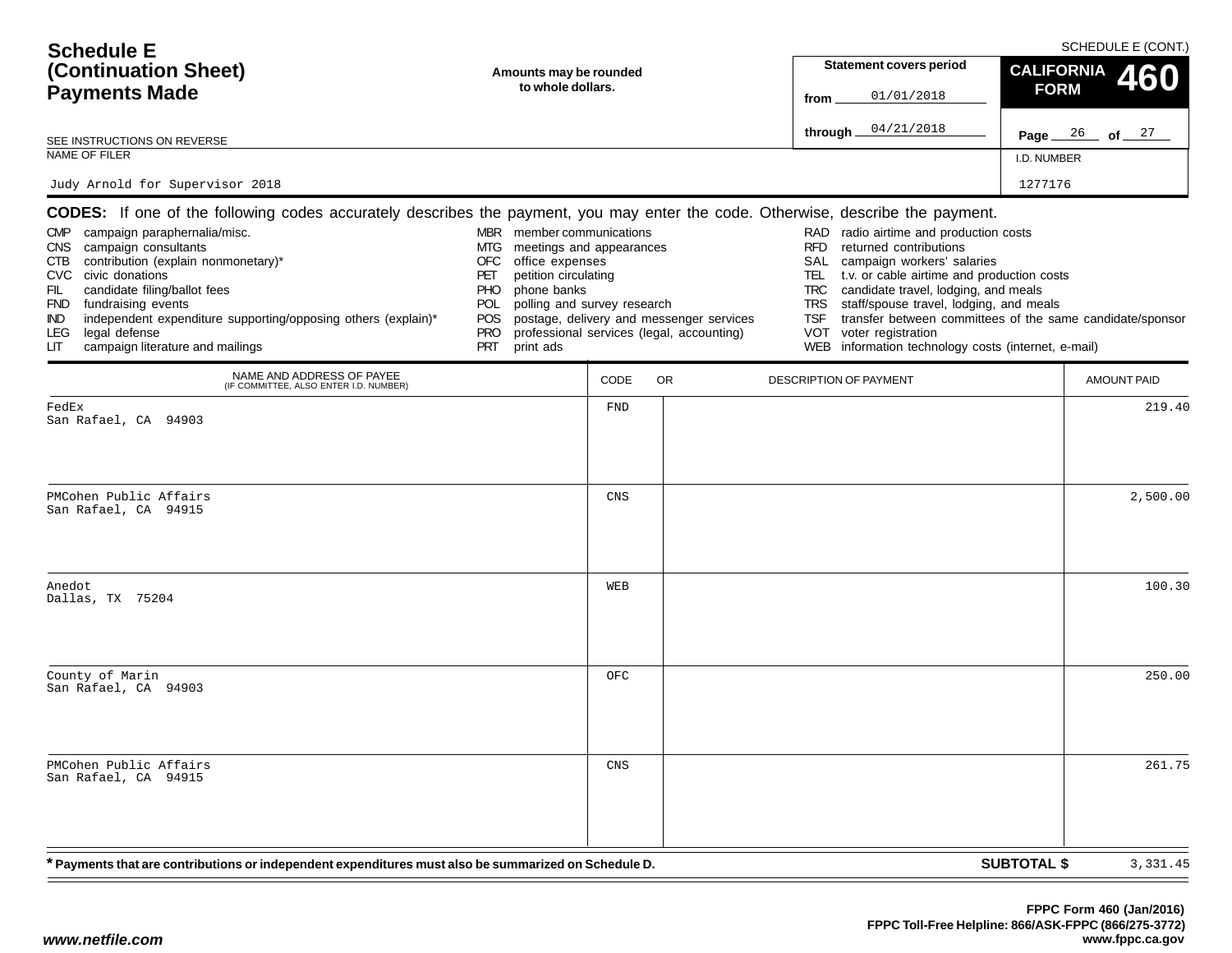| <b>Schedule E</b><br>(Continuation Sheet)<br><b>Payments Made</b>                                                                                                                                                                                                                                                                                                                                                                                                                      | Amounts may be rounded<br>to whole dollars.                                                                                                                                                                                                      | <b>Statement covers period</b><br>01/01/2018<br>from | SCHEDULE E (CONT.)<br><b>CALIFORNIA</b><br>460<br><b>FORM</b>                         |                                                                                                                                                                                                                                                                                                                                                                                |                                                           |        |
|----------------------------------------------------------------------------------------------------------------------------------------------------------------------------------------------------------------------------------------------------------------------------------------------------------------------------------------------------------------------------------------------------------------------------------------------------------------------------------------|--------------------------------------------------------------------------------------------------------------------------------------------------------------------------------------------------------------------------------------------------|------------------------------------------------------|---------------------------------------------------------------------------------------|--------------------------------------------------------------------------------------------------------------------------------------------------------------------------------------------------------------------------------------------------------------------------------------------------------------------------------------------------------------------------------|-----------------------------------------------------------|--------|
| SEE INSTRUCTIONS ON REVERSE                                                                                                                                                                                                                                                                                                                                                                                                                                                            |                                                                                                                                                                                                                                                  |                                                      |                                                                                       | 04/21/2018<br>through $\_$                                                                                                                                                                                                                                                                                                                                                     | Page $26$ of $27$                                         |        |
| NAME OF FILER                                                                                                                                                                                                                                                                                                                                                                                                                                                                          |                                                                                                                                                                                                                                                  |                                                      |                                                                                       |                                                                                                                                                                                                                                                                                                                                                                                | I.D. NUMBER                                               |        |
| Judy Arnold for Supervisor 2018                                                                                                                                                                                                                                                                                                                                                                                                                                                        |                                                                                                                                                                                                                                                  |                                                      |                                                                                       |                                                                                                                                                                                                                                                                                                                                                                                | 1277176                                                   |        |
| <b>CODES:</b> If one of the following codes accurately describes the payment, you may enter the code. Otherwise, describe the payment.<br>CMP campaign paraphernalia/misc.<br>CNS campaign consultants<br>CTB contribution (explain nonmonetary)*<br>CVC civic donations<br>candidate filing/ballot fees<br>FIL<br>FND fundraising events<br>independent expenditure supporting/opposing others (explain)*<br>IND.<br>legal defense<br>LEG.<br>campaign literature and mailings<br>LIТ | MBR member communications<br>meetings and appearances<br>MTG<br>office expenses<br>OFC<br>petition circulating<br>PET<br>phone banks<br><b>PHO</b><br>polling and survey research<br><b>POL</b><br>POS.<br><b>PRO</b><br><b>PRT</b><br>print ads |                                                      | postage, delivery and messenger services<br>professional services (legal, accounting) | radio airtime and production costs<br>RAD<br><b>RFD</b><br>returned contributions<br>SAL<br>campaign workers' salaries<br>TEL<br>t.v. or cable airtime and production costs<br>candidate travel, lodging, and meals<br>TRC<br>staff/spouse travel, lodging, and meals<br>TRS<br><b>TSF</b><br>voter registration<br>VOT<br>WEB information technology costs (internet, e-mail) | transfer between committees of the same candidate/sponsor |        |
| NAME AND ADDRESS OF PAYEE<br>(IF COMMITTEE, ALSO ENTER I.D. NUMBER)                                                                                                                                                                                                                                                                                                                                                                                                                    |                                                                                                                                                                                                                                                  | CODE                                                 | <b>OR</b>                                                                             | <b>DESCRIPTION OF PAYMENT</b>                                                                                                                                                                                                                                                                                                                                                  | <b>AMOUNT PAID</b>                                        |        |
| FedEx<br>San Rafael, CA 94903                                                                                                                                                                                                                                                                                                                                                                                                                                                          |                                                                                                                                                                                                                                                  | <b>FND</b>                                           |                                                                                       |                                                                                                                                                                                                                                                                                                                                                                                |                                                           | 219.40 |
| PMCohen Public Affairs<br>San Rafael, CA 94915                                                                                                                                                                                                                                                                                                                                                                                                                                         |                                                                                                                                                                                                                                                  | CNS                                                  |                                                                                       |                                                                                                                                                                                                                                                                                                                                                                                | 2,500.00                                                  |        |
| Anedot<br>Dallas, TX 75204                                                                                                                                                                                                                                                                                                                                                                                                                                                             |                                                                                                                                                                                                                                                  | WEB                                                  |                                                                                       |                                                                                                                                                                                                                                                                                                                                                                                |                                                           | 100.30 |
| County of Marin<br>San Rafael, CA 94903                                                                                                                                                                                                                                                                                                                                                                                                                                                |                                                                                                                                                                                                                                                  | OFC                                                  |                                                                                       |                                                                                                                                                                                                                                                                                                                                                                                |                                                           | 250.00 |
| PMCohen Public Affairs<br>San Rafael, CA 94915                                                                                                                                                                                                                                                                                                                                                                                                                                         |                                                                                                                                                                                                                                                  | CNS                                                  |                                                                                       |                                                                                                                                                                                                                                                                                                                                                                                |                                                           | 261.75 |
| * Payments that are contributions or independent expenditures must also be summarized on Schedule D.                                                                                                                                                                                                                                                                                                                                                                                   |                                                                                                                                                                                                                                                  |                                                      |                                                                                       |                                                                                                                                                                                                                                                                                                                                                                                | <b>SUBTOTAL \$</b><br>3,331.45                            |        |